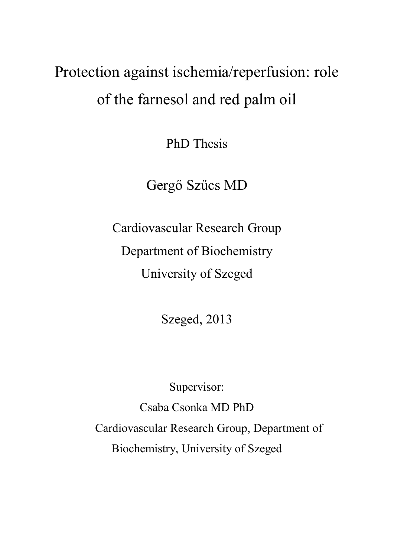# Protection against ischemia/reperfusion: role of the farnesol and red palm oil

PhD Thesis

Gergő Szűcs MD

Cardiovascular Research Group Department of Biochemistry University of Szeged

Szeged, 2013

Supervisor:

Csaba Csonka MD PhD Cardiovascular Research Group, Department of Biochemistry, University of Szeged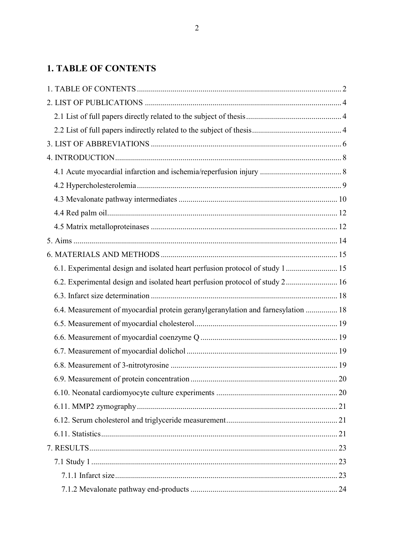# <span id="page-1-0"></span>**1. TABLE OF CONTENTS**

| 6.1. Experimental design and isolated heart perfusion protocol of study 1 15     |  |
|----------------------------------------------------------------------------------|--|
| 6.2. Experimental design and isolated heart perfusion protocol of study 2 16     |  |
|                                                                                  |  |
| 6.4. Measurement of myocardial protein geranylgeranylation and farnesylation  18 |  |
|                                                                                  |  |
|                                                                                  |  |
|                                                                                  |  |
|                                                                                  |  |
|                                                                                  |  |
|                                                                                  |  |
|                                                                                  |  |
|                                                                                  |  |
|                                                                                  |  |
|                                                                                  |  |
|                                                                                  |  |
|                                                                                  |  |
|                                                                                  |  |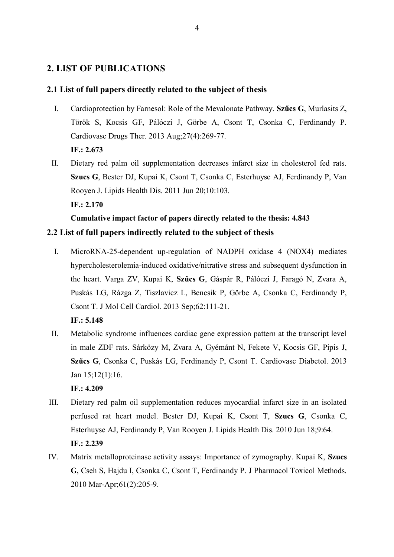# <span id="page-3-0"></span>**2. LIST OF PUBLICATIONS**

#### <span id="page-3-1"></span>**2.1 List of full papers directly related to the subject of thesis**

- I. Cardioprotection by Farnesol: Role of the Mevalonate Pathway. **Szűcs G**, Murlasits Z, Török S, Kocsis GF, Pálóczi J, Görbe A, Csont T, Csonka C, Ferdinandy P. Cardiovasc Drugs Ther. 2013 Aug;27(4):269-77. **IF.: 2.673**
- II. Dietary red palm oil supplementation decreases infarct size in cholesterol fed rats. **Szucs G**, Bester DJ, Kupai K, Csont T, Csonka C, Esterhuyse AJ, Ferdinandy P, Van Rooyen J. Lipids Health Dis. 2011 Jun 20;10:103. **IF.: 2.170**

# **Cumulative impact factor of papers directly related to the thesis: 4.843**

## <span id="page-3-2"></span>**2.2 List of full papers indirectly related to the subject of thesis**

I. MicroRNA-25-dependent up-regulation of NADPH oxidase 4 (NOX4) mediates hypercholesterolemia-induced oxidative/nitrative stress and subsequent dysfunction in the heart. Varga ZV, Kupai K, **Szűcs G**, Gáspár R, Pálóczi J, Faragó N, Zvara A, Puskás LG, Rázga Z, Tiszlavicz L, Bencsik P, Görbe A, Csonka C, Ferdinandy P, Csont T. J Mol Cell Cardiol. 2013 Sep;62:111-21.

**IF.: 5.148**

II. Metabolic syndrome influences cardiac gene expression pattern at the transcript level in male ZDF rats. Sárközy M, Zvara A, Gyémánt N, Fekete V, Kocsis GF, Pipis J, **Szűcs G**, Csonka C, Puskás LG, Ferdinandy P, Csont T. Cardiovasc Diabetol. 2013 Jan 15;12(1):16.

**IF.: 4.209**

- III. Dietary red palm oil supplementation reduces myocardial infarct size in an isolated perfused rat heart model. Bester DJ, Kupai K, Csont T, **Szucs G**, Csonka C, Esterhuyse AJ, Ferdinandy P, Van Rooyen J. Lipids Health Dis. 2010 Jun 18;9:64. **IF.: 2.239**
- IV. Matrix metalloproteinase activity assays: Importance of zymography. Kupai K, **Szucs G**, Cseh S, Hajdu I, Csonka C, Csont T, Ferdinandy P. J Pharmacol Toxicol Methods. 2010 Mar-Apr;61(2):205-9.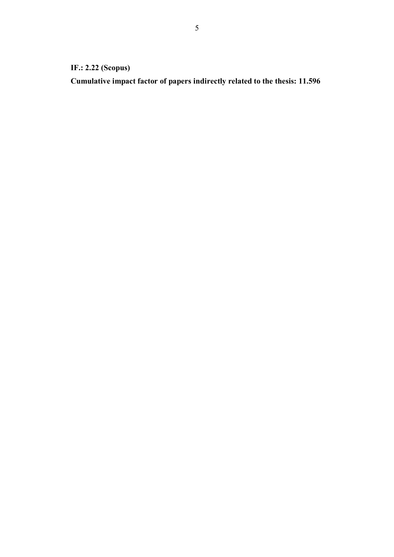# **IF.: 2.22 (Scopus)**

**Cumulative impact factor of papers indirectly related to the thesis: 11.596**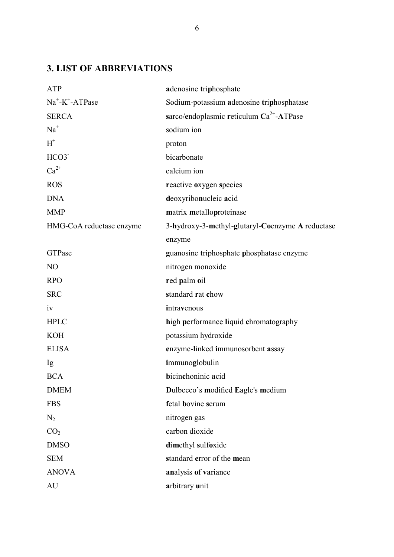# <span id="page-5-0"></span>**3. LIST OF ABBREVIATIONS**

| <b>ATP</b>               | adenosine triphosphate                           |
|--------------------------|--------------------------------------------------|
| $Na^+$ - $K^+$ -ATPase   | Sodium-potassium adenosine triphosphatase        |
| <b>SERCA</b>             | sarco/endoplasmic reticulum $Ca^{2+}$ -ATPase    |
| $Na+$                    | sodium ion                                       |
| $H^+$                    | proton                                           |
| HCO3 <sup>-</sup>        | bicarbonate                                      |
| $Ca^{2+}$                | calcium ion                                      |
| <b>ROS</b>               | reactive oxygen species                          |
| <b>DNA</b>               | deoxyribonucleic acid                            |
| <b>MMP</b>               | matrix metalloproteinase                         |
| HMG-CoA reductase enzyme | 3-hydroxy-3-methyl-glutaryl-Coenzyme A reductase |
|                          | enzyme                                           |
| GTPase                   | guanosine triphosphate phosphatase enzyme        |
| N <sub>O</sub>           | nitrogen monoxide                                |
| <b>RPO</b>               | red palm oil                                     |
| <b>SRC</b>               | standard rat chow                                |
| iv                       | intravenous                                      |
| <b>HPLC</b>              | high performance liquid chromatography           |
| <b>KOH</b>               | potassium hydroxide                              |
| <b>ELISA</b>             | enzyme-linked immunosorbent assay                |
| Ig                       | immunoglobulin                                   |
| <b>BCA</b>               | bicinchoninic acid                               |
| <b>DMEM</b>              | Dulbecco's modified Eagle's medium               |
| <b>FBS</b>               | fetal bovine serum                               |
| $N_2$                    | nitrogen gas                                     |
| CO <sub>2</sub>          | carbon dioxide                                   |
| <b>DMSO</b>              | dimethyl sulfoxide                               |
| <b>SEM</b>               | standard error of the mean                       |
| <b>ANOVA</b>             | analysis of variance                             |
| AU                       | arbitrary unit                                   |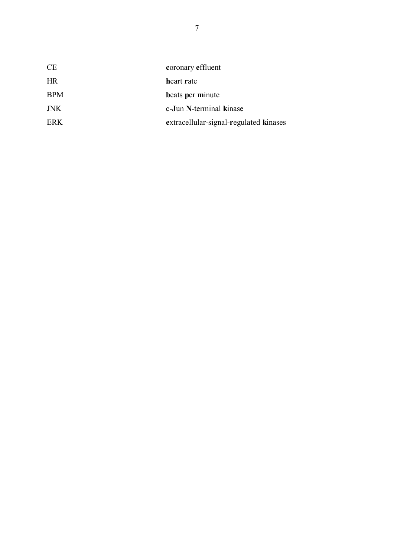| coronary effluent                      |
|----------------------------------------|
| heart rate                             |
| beats per minute                       |
| c-Jun N-terminal kinase                |
| extracellular-signal-regulated kinases |
|                                        |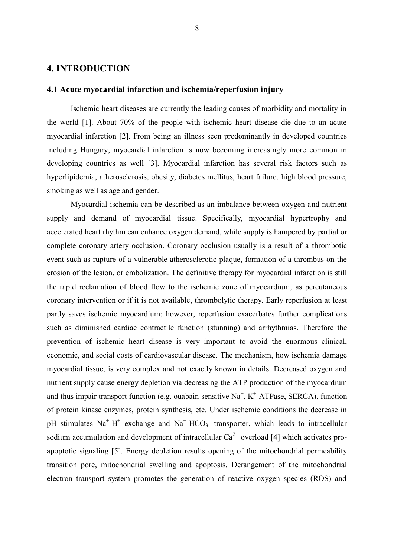#### <span id="page-7-0"></span>**4. INTRODUCTION**

#### <span id="page-7-1"></span>**4.1 Acute myocardial infarction and ischemia/reperfusion injury**

Ischemic heart diseases are currently the leading causes of morbidity and mortality in the world [1]. About 70% of the people with ischemic heart disease die due to an acute myocardial infarction [2]. From being an illness seen predominantly in developed countries including Hungary, myocardial infarction is now becoming increasingly more common in developing countries as well [3]. Myocardial infarction has several risk factors such as hyperlipidemia, atherosclerosis, obesity, diabetes mellitus, heart failure, high blood pressure, smoking as well as age and gender.

Myocardial ischemia can be described as an imbalance between oxygen and nutrient supply and demand of myocardial tissue. Specifically, myocardial hypertrophy and accelerated heart rhythm can enhance oxygen demand, while supply is hampered by partial or complete coronary artery occlusion. Coronary occlusion usually is a result of a thrombotic event such as rupture of a vulnerable atherosclerotic plaque, formation of a thrombus on the erosion of the lesion, or embolization. The definitive therapy for myocardial infarction is still the rapid reclamation of blood flow to the ischemic zone of myocardium, as percutaneous coronary intervention or if it is not available, thrombolytic therapy. Early reperfusion at least partly saves ischemic myocardium; however, reperfusion exacerbates further complications such as diminished cardiac contractile function (stunning) and arrhythmias. Therefore the prevention of ischemic heart disease is very important to avoid the enormous clinical, economic, and social costs of cardiovascular disease. The mechanism, how ischemia damage myocardial tissue, is very complex and not exactly known in details. Decreased oxygen and nutrient supply cause energy depletion via decreasing the ATP production of the myocardium and thus impair transport function (e.g. ouabain-sensitive  $Na<sup>+</sup>, K<sup>+</sup>-ATPase$ , SERCA), function of protein kinase enzymes, protein synthesis, etc. Under ischemic conditions the decrease in pH stimulates  $Na^{+} - H^{+}$  exchange and  $Na^{+} - HCO_3$  transporter, which leads to intracellular sodium accumulation and development of intracellular  $Ca^{2+}$  overload [4] which activates proapoptotic signaling [5]. Energy depletion results opening of the mitochondrial permeability transition pore, mitochondrial swelling and apoptosis. Derangement of the mitochondrial electron transport system promotes the generation of reactive oxygen species (ROS) and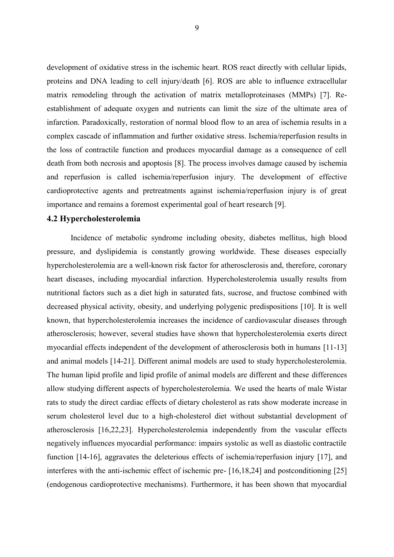development of oxidative stress in the ischemic heart. ROS react directly with cellular lipids, proteins and DNA leading to cell injury/death [6]. ROS are able to influence extracellular matrix remodeling through the activation of matrix metalloproteinases (MMPs) [7]. Reestablishment of adequate oxygen and nutrients can limit the size of the ultimate area of infarction. Paradoxically, restoration of normal blood flow to an area of ischemia results in a complex cascade of inflammation and further oxidative stress. Ischemia/reperfusion results in the loss of contractile function and produces myocardial damage as a consequence of cell death from both necrosis and apoptosis [8]. The process involves damage caused by ischemia and reperfusion is called ischemia/reperfusion injury. The development of effective cardioprotective agents and pretreatments against ischemia/reperfusion injury is of great importance and remains a foremost experimental goal of heart research [9].

#### <span id="page-8-0"></span>**4.2 Hypercholesterolemia**

Incidence of metabolic syndrome including obesity, diabetes mellitus, high blood pressure, and dyslipidemia is constantly growing worldwide. These diseases especially hypercholesterolemia are a well-known risk factor for atherosclerosis and, therefore, coronary heart diseases, including myocardial infarction. Hypercholesterolemia usually results from nutritional factors such as a diet high in saturated fats, sucrose, and fructose combined with decreased physical activity, obesity, and underlying polygenic predispositions [10]. It is well known, that hypercholesterolemia increases the incidence of cardiovascular diseases through atherosclerosis; however, several studies have shown that hypercholesterolemia exerts direct myocardial effects independent of the development of atherosclerosis both in humans [11-13] and animal models [14-21]. Different animal models are used to study hypercholesterolemia. The human lipid profile and lipid profile of animal models are different and these differences allow studying different aspects of hypercholesterolemia. We used the hearts of male Wistar rats to study the direct cardiac effects of dietary cholesterol as rats show moderate increase in serum cholesterol level due to a high-cholesterol diet without substantial development of atherosclerosis [16,22,23]. Hypercholesterolemia independently from the vascular effects negatively influences myocardial performance: impairs systolic as well as diastolic contractile function [14-16], aggravates the deleterious effects of ischemia/reperfusion injury [17], and interferes with the anti-ischemic effect of ischemic pre- [16,18,24] and postconditioning [25] (endogenous cardioprotective mechanisms). Furthermore, it has been shown that myocardial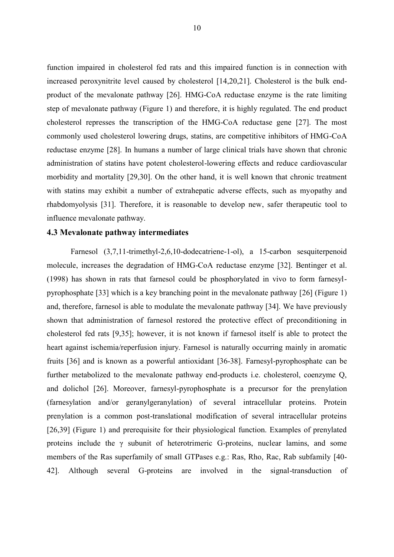function impaired in cholesterol fed rats and this impaired function is in connection with increased peroxynitrite level caused by cholesterol [14,20,21]. Cholesterol is the bulk endproduct of the mevalonate pathway [26]. HMG-CoA reductase enzyme is the rate limiting step of mevalonate pathway [\(Figure 1\)](#page-10-0) and therefore, it is highly regulated. The end product cholesterol represses the transcription of the HMG-CoA reductase gene [27]. The most commonly used cholesterol lowering drugs, statins, are competitive inhibitors of HMG-CoA reductase enzyme [28]. In humans a number of large clinical trials have shown that chronic administration of statins have potent cholesterol-lowering effects and reduce cardiovascular morbidity and mortality [29,30]. On the other hand, it is well known that chronic treatment with statins may exhibit a number of extrahepatic adverse effects, such as myopathy and rhabdomyolysis [31]. Therefore, it is reasonable to develop new, safer therapeutic tool to influence mevalonate pathway.

#### <span id="page-9-0"></span>**4.3 Mevalonate pathway intermediates**

Farnesol (3,7,11-trimethyl-2,6,10-dodecatriene-1-ol), a 15-carbon sesquiterpenoid molecule, increases the degradation of HMG-CoA reductase enzyme [32]. Bentinger et al. (1998) has shown in rats that farnesol could be phosphorylated in vivo to form farnesylpyrophosphate [33] which is a key branching point in the mevalonate pathway [26] [\(Figure 1\)](#page-10-0) and, therefore, farnesol is able to modulate the mevalonate pathway [34]. We have previously shown that administration of farnesol restored the protective effect of preconditioning in cholesterol fed rats [9,35]; however, it is not known if farnesol itself is able to protect the heart against ischemia/reperfusion injury. Farnesol is naturally occurring mainly in aromatic fruits [36] and is known as a powerful antioxidant [36-38]. Farnesyl-pyrophosphate can be further metabolized to the mevalonate pathway end-products i.e. cholesterol, coenzyme Q, and dolichol [26]. Moreover, farnesyl-pyrophosphate is a precursor for the prenylation (farnesylation and/or geranylgeranylation) of several intracellular proteins. Protein prenylation is a common post-translational modification of several intracellular proteins [26,39] [\(Figure 1\)](#page-10-0) and prerequisite for their physiological function. Examples of prenylated proteins include the γ subunit of heterotrimeric G-proteins, nuclear lamins, and some members of the Ras superfamily of small GTPases e.g.: Ras, Rho, Rac, Rab subfamily [40- 42]. Although several G-proteins are involved in the signal-transduction of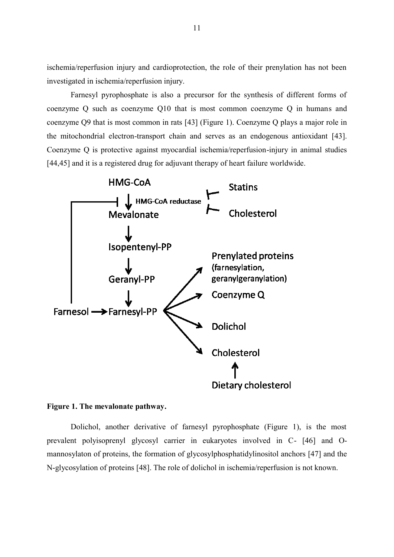ischemia/reperfusion injury and cardioprotection, the role of their prenylation has not been investigated in ischemia/reperfusion injury.

Farnesyl pyrophosphate is also a precursor for the synthesis of different forms of coenzyme Q such as coenzyme Q10 that is most common coenzyme Q in humans and coenzyme Q9 that is most common in rats [43] (Figure 1). Coenzyme Q plays a major role in the mitochondrial electron-transport chain and serves as an endogenous antioxidant [43]. Coenzyme Q is protective against myocardial ischemia/reperfusion-injury in animal studies [44,45] and it is a registered drug for adjuvant therapy of heart failure worldwide.



#### <span id="page-10-0"></span>**Figure 1. The mevalonate pathway.**

Dolichol, another derivative of farnesyl pyrophosphate (Figure 1), is the most prevalent polyisoprenyl glycosyl carrier in eukaryotes involved in C- [46] and Omannosylaton of proteins, the formation of glycosylphosphatidylinositol anchors [47] and the N-glycosylation of proteins [48]. The role of dolichol in ischemia/reperfusion is not known.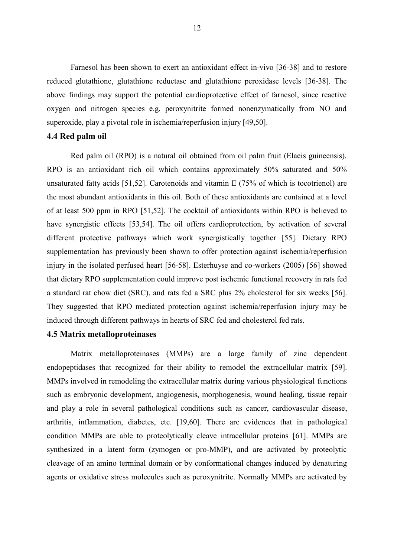Farnesol has been shown to exert an antioxidant effect in-vivo [36-38] and to restore reduced glutathione, glutathione reductase and glutathione peroxidase levels [36-38]. The above findings may support the potential cardioprotective effect of farnesol, since reactive oxygen and nitrogen species e.g. peroxynitrite formed nonenzymatically from NO and superoxide, play a pivotal role in ischemia/reperfusion injury [49,50].

#### <span id="page-11-0"></span>**4.4 Red palm oil**

Red palm oil (RPO) is a natural oil obtained from oil palm fruit (Elaeis guineensis). RPO is an antioxidant rich oil which contains approximately 50% saturated and 50% unsaturated fatty acids [51,52]. Carotenoids and vitamin E (75% of which is tocotrienol) are the most abundant antioxidants in this oil. Both of these antioxidants are contained at a level of at least 500 ppm in RPO [51,52]. The cocktail of antioxidants within RPO is believed to have synergistic effects [53,54]. The oil offers cardioprotection, by activation of several different protective pathways which work synergistically together [55]. Dietary RPO supplementation has previously been shown to offer protection against ischemia/reperfusion injury in the isolated perfused heart [56-58]. Esterhuyse and co-workers (2005) [56] showed that dietary RPO supplementation could improve post ischemic functional recovery in rats fed a standard rat chow diet (SRC), and rats fed a SRC plus 2% cholesterol for six weeks [56]. They suggested that RPO mediated protection against ischemia/reperfusion injury may be induced through different pathways in hearts of SRC fed and cholesterol fed rats.

#### <span id="page-11-1"></span>**4.5 Matrix metalloproteinases**

Matrix metalloproteinases (MMPs) are a large family of zinc dependent endopeptidases that recognized for their ability to remodel the extracellular matrix [59]. MMPs involved in remodeling the extracellular matrix during various physiological functions such as embryonic development, angiogenesis, morphogenesis, wound healing, tissue repair and play a role in several pathological conditions such as cancer, cardiovascular disease, arthritis, inflammation, diabetes, etc. [19,60]. There are evidences that in pathological condition MMPs are able to proteolytically cleave intracellular proteins [61]. MMPs are synthesized in a latent form (zymogen or pro-MMP), and are activated by proteolytic cleavage of an amino terminal domain or by conformational changes induced by denaturing agents or oxidative stress molecules such as peroxynitrite. Normally MMPs are activated by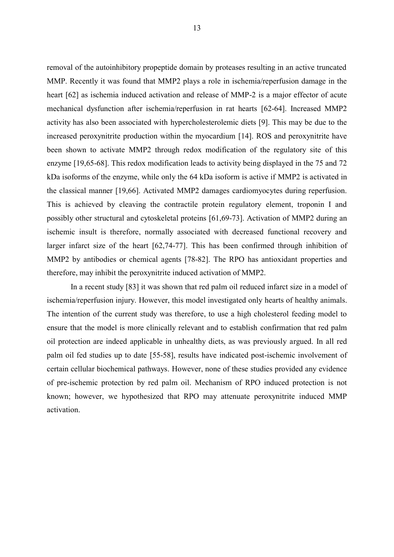removal of the autoinhibitory propeptide domain by proteases resulting in an active truncated MMP. Recently it was found that MMP2 plays a role in ischemia/reperfusion damage in the heart [62] as ischemia induced activation and release of MMP-2 is a major effector of acute mechanical dysfunction after ischemia/reperfusion in rat hearts [62-64]. Increased MMP2 activity has also been associated with hypercholesterolemic diets [9]. This may be due to the increased peroxynitrite production within the myocardium [14]. ROS and peroxynitrite have been shown to activate MMP2 through redox modification of the regulatory site of this enzyme [19,65-68]. This redox modification leads to activity being displayed in the 75 and 72 kDa isoforms of the enzyme, while only the 64 kDa isoform is active if MMP2 is activated in the classical manner [19,66]. Activated MMP2 damages cardiomyocytes during reperfusion. This is achieved by cleaving the contractile protein regulatory element, troponin I and possibly other structural and cytoskeletal proteins [61,69-73]. Activation of MMP2 during an ischemic insult is therefore, normally associated with decreased functional recovery and larger infarct size of the heart [62,74-77]. This has been confirmed through inhibition of MMP2 by antibodies or chemical agents [78-82]. The RPO has antioxidant properties and therefore, may inhibit the peroxynitrite induced activation of MMP2.

In a recent study [83] it was shown that red palm oil reduced infarct size in a model of ischemia/reperfusion injury. However, this model investigated only hearts of healthy animals. The intention of the current study was therefore, to use a high cholesterol feeding model to ensure that the model is more clinically relevant and to establish confirmation that red palm oil protection are indeed applicable in unhealthy diets, as was previously argued. In all red palm oil fed studies up to date [55-58], results have indicated post-ischemic involvement of certain cellular biochemical pathways. However, none of these studies provided any evidence of pre-ischemic protection by red palm oil. Mechanism of RPO induced protection is not known; however, we hypothesized that RPO may attenuate peroxynitrite induced MMP activation.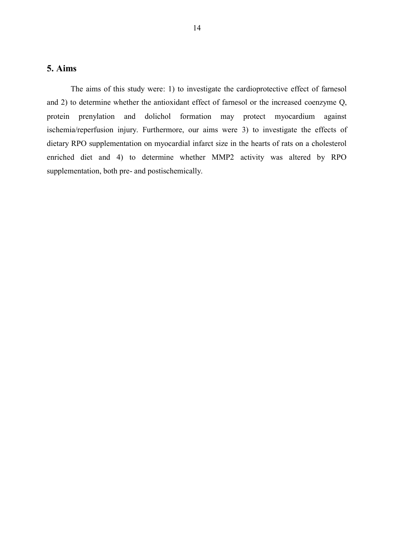## <span id="page-13-0"></span>**5. Aims**

The aims of this study were: 1) to investigate the cardioprotective effect of farnesol and 2) to determine whether the antioxidant effect of farnesol or the increased coenzyme Q, protein prenylation and dolichol formation may protect myocardium against ischemia/reperfusion injury. Furthermore, our aims were 3) to investigate the effects of dietary RPO supplementation on myocardial infarct size in the hearts of rats on a cholesterol enriched diet and 4) to determine whether MMP2 activity was altered by RPO supplementation, both pre- and postischemically.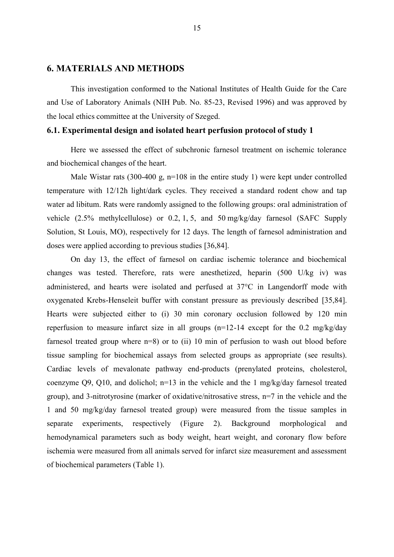#### <span id="page-14-0"></span>**6. MATERIALS AND METHODS**

This investigation conformed to the National Institutes of Health Guide for the Care and Use of Laboratory Animals (NIH Pub. No. 85-23, Revised 1996) and was approved by the local ethics committee at the University of Szeged.

#### <span id="page-14-1"></span>**6.1. Experimental design and isolated heart perfusion protocol of study 1**

Here we assessed the effect of subchronic farnesol treatment on ischemic tolerance and biochemical changes of the heart.

Male Wistar rats (300-400 g, n=108 in the entire study 1) were kept under controlled temperature with 12/12h light/dark cycles. They received a standard rodent chow and tap water ad libitum. Rats were randomly assigned to the following groups: oral administration of vehicle (2.5% methylcellulose) or 0.2, 1, 5, and 50 mg/kg/day farnesol (SAFC Supply Solution, St Louis, MO), respectively for 12 days. The length of farnesol administration and doses were applied according to previous studies [36,84].

On day 13, the effect of farnesol on cardiac ischemic tolerance and biochemical changes was tested. Therefore, rats were anesthetized, heparin (500 U/kg iv) was administered, and hearts were isolated and perfused at 37°C in Langendorff mode with oxygenated Krebs-Henseleit buffer with constant pressure as previously described [35,84]. Hearts were subjected either to (i) 30 min coronary occlusion followed by 120 min reperfusion to measure infarct size in all groups (n=12-14 except for the 0.2 mg/kg/day farnesol treated group where n=8) or to (ii) 10 min of perfusion to wash out blood before tissue sampling for biochemical assays from selected groups as appropriate (see results). Cardiac levels of mevalonate pathway end-products (prenylated proteins, cholesterol, coenzyme Q9, Q10, and dolichol; n=13 in the vehicle and the 1 mg/kg/day farnesol treated group), and 3-nitrotyrosine (marker of oxidative/nitrosative stress, n=7 in the vehicle and the 1 and 50 mg/kg/day farnesol treated group) were measured from the tissue samples in separate experiments, respectively [\(Figure 2\)](#page-15-1). Background morphological and hemodynamical parameters such as body weight, heart weight, and coronary flow before ischemia were measured from all animals served for infarct size measurement and assessment of biochemical parameters [\(Table 1\)](#page-23-1).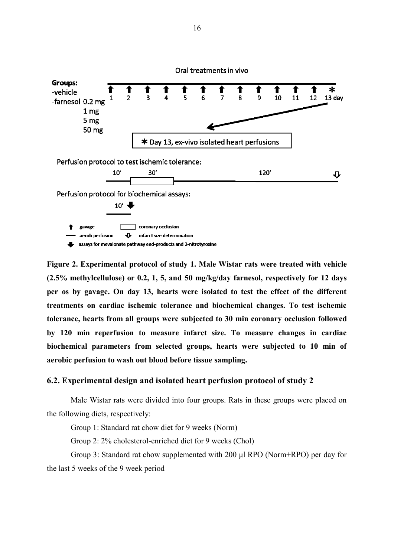

<span id="page-15-1"></span>**Figure 2. Experimental protocol of study 1. Male Wistar rats were treated with vehicle (2.5% methylcellulose) or 0.2, 1, 5, and 50 mg/kg/day farnesol, respectively for 12 days per os by gavage. On day 13, hearts were isolated to test the effect of the different treatments on cardiac ischemic tolerance and biochemical changes. To test ischemic tolerance, hearts from all groups were subjected to 30 min coronary occlusion followed by 120 min reperfusion to measure infarct size. To measure changes in cardiac biochemical parameters from selected groups, hearts were subjected to 10 min of aerobic perfusion to wash out blood before tissue sampling.**

#### <span id="page-15-0"></span>**6.2. Experimental design and isolated heart perfusion protocol of study 2**

Male Wistar rats were divided into four groups. Rats in these groups were placed on the following diets, respectively:

Group 1: Standard rat chow diet for 9 weeks (Norm)

Group 2: 2% cholesterol-enriched diet for 9 weeks (Chol)

Group 3: Standard rat chow supplemented with 200 μl RPO (Norm+RPO) per day for the last 5 weeks of the 9 week period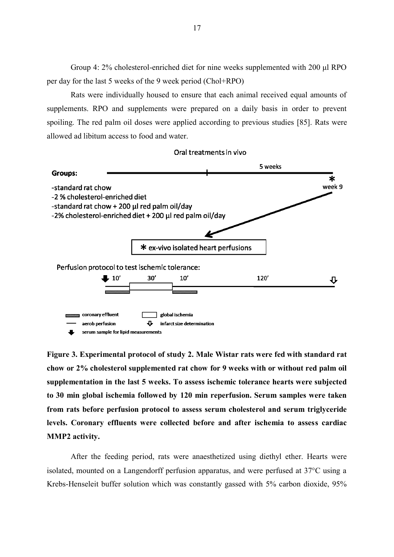Group 4: 2% cholesterol-enriched diet for nine weeks supplemented with 200 μl RPO per day for the last 5 weeks of the 9 week period (Chol+RPO)

Rats were individually housed to ensure that each animal received equal amounts of supplements. RPO and supplements were prepared on a daily basis in order to prevent spoiling. The red palm oil doses were applied according to previous studies [85]. Rats were allowed ad libitum access to food and water.



**Figure 3. Experimental protocol of study 2. Male Wistar rats were fed with standard rat chow or 2% cholesterol supplemented rat chow for 9 weeks with or without red palm oil supplementation in the last 5 weeks. To assess ischemic tolerance hearts were subjected to 30 min global ischemia followed by 120 min reperfusion. Serum samples were taken from rats before perfusion protocol to assess serum cholesterol and serum triglyceride levels. Coronary effluents were collected before and after ischemia to assess cardiac MMP2 activity.**

After the feeding period, rats were anaesthetized using diethyl ether. Hearts were isolated, mounted on a Langendorff perfusion apparatus, and were perfused at 37°C using a Krebs-Henseleit buffer solution which was constantly gassed with 5% carbon dioxide, 95%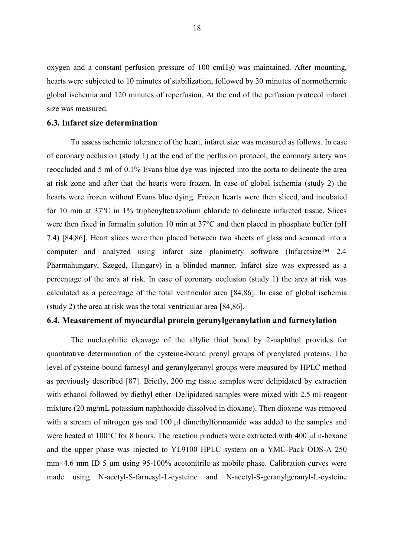oxygen and a constant perfusion pressure of 100 cmH20 was maintained. After mounting, hearts were subjected to 10 minutes of stabilization, followed by 30 minutes of normothermic global ischemia and 120 minutes of reperfusion. At the end of the perfusion protocol infarct size was measured.

#### <span id="page-17-0"></span>**6.3. Infarct size determination**

To assess ischemic tolerance of the heart, infarct size was measured as follows. In case of coronary occlusion (study 1) at the end of the perfusion protocol, the coronary artery was reoccluded and 5 ml of 0.1% Evans blue dye was injected into the aorta to delineate the area at risk zone and after that the hearts were frozen. In case of global ischemia (study 2) the hearts were frozen without Evans blue dying. Frozen hearts were then sliced, and incubated for 10 min at 37°C in 1% triphenyltetrazolium chloride to delineate infarcted tissue. Slices were then fixed in formalin solution 10 min at 37°C and then placed in phosphate buffer (pH 7.4) [84,86]. Heart slices were then placed between two sheets of glass and scanned into a computer and analyzed using infarct size planimetry software (Infarctsize™ 2.4 Pharmahungary, Szeged, Hungary) in a blinded manner. Infarct size was expressed as a percentage of the area at risk. In case of coronary occlusion (study 1) the area at risk was calculated as a percentage of the total ventricular area [84,86]. In case of global ischemia (study 2) the area at risk was the total ventricular area [84,86].

#### <span id="page-17-1"></span>**6.4. Measurement of myocardial protein geranylgeranylation and farnesylation**

The nucleophilic cleavage of the allylic thiol bond by 2-naphthol provides for quantitative determination of the cysteine-bound prenyl groups of prenylated proteins. The level of cysteine-bound farnesyl and geranylgeranyl groups were measured by HPLC method as previously described [87]. Briefly, 200 mg tissue samples were delipidated by extraction with ethanol followed by diethyl ether. Delipidated samples were mixed with 2.5 ml reagent mixture (20 mg/mL potassium naphthoxide dissolved in dioxane). Then dioxane was removed with a stream of nitrogen gas and 100 µl dimethylformamide was added to the samples and were heated at 100°C for 8 hours. The reaction products were extracted with 400 µl n-hexane and the upper phase was injected to YL9100 HPLC system on a YMC-Pack ODS-A 250 mm×4.6 mm ID 5 μm using 95-100% acetonitrile as mobile phase. Calibration curves were made using N-acetyl-S-farnesyl-L-cysteine and N-acetyl-S-geranylgeranyl-L-cysteine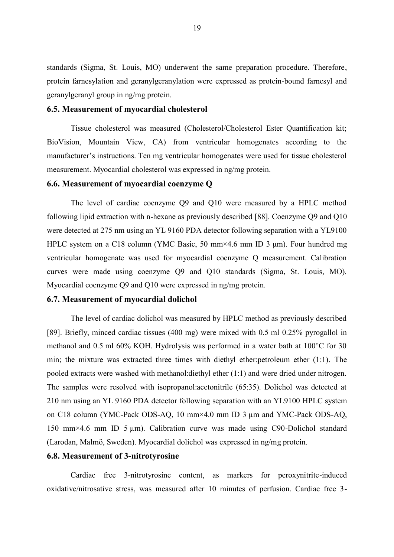standards (Sigma, St. Louis, MO) underwent the same preparation procedure. Therefore, protein farnesylation and geranylgeranylation were expressed as protein-bound farnesyl and geranylgeranyl group in ng/mg protein.

#### <span id="page-18-0"></span>**6.5. Measurement of myocardial cholesterol**

Tissue cholesterol was measured (Cholesterol/Cholesterol Ester Quantification kit; BioVision, Mountain View, CA) from ventricular homogenates according to the manufacturer's instructions. Ten mg ventricular homogenates were used for tissue cholesterol measurement. Myocardial cholesterol was expressed in ng/mg protein.

#### <span id="page-18-1"></span>**6.6. Measurement of myocardial coenzyme Q**

The level of cardiac coenzyme Q9 and Q10 were measured by a HPLC method following lipid extraction with n-hexane as previously described [88]. Coenzyme Q9 and Q10 were detected at 275 nm using an YL 9160 PDA detector following separation with a YL9100 HPLC system on a C18 column (YMC Basic, 50 mm×4.6 mm ID 3 μm). Four hundred mg ventricular homogenate was used for myocardial coenzyme Q measurement. Calibration curves were made using coenzyme Q9 and Q10 standards (Sigma, St. Louis, MO). Myocardial coenzyme Q9 and Q10 were expressed in ng/mg protein.

#### <span id="page-18-2"></span>**6.7. Measurement of myocardial dolichol**

The level of cardiac dolichol was measured by HPLC method as previously described [89]. Briefly, minced cardiac tissues (400 mg) were mixed with 0.5 ml 0.25% pyrogallol in methanol and 0.5 ml 60% KOH. Hydrolysis was performed in a water bath at 100°C for 30 min; the mixture was extracted three times with diethyl ether:petroleum ether (1:1). The pooled extracts were washed with methanol:diethyl ether (1:1) and were dried under nitrogen. The samples were resolved with isopropanol:acetonitrile (65:35). Dolichol was detected at 210 nm using an YL 9160 PDA detector following separation with an YL9100 HPLC system on C18 column (YMC-Pack ODS-AQ, 10 mm×4.0 mm ID 3 µm and YMC-Pack ODS-AQ, 150 mm×4.6 mm ID 5 µm). Calibration curve was made using C90-Dolichol standard (Larodan, Malmö, Sweden). Myocardial dolichol was expressed in ng/mg protein.

#### <span id="page-18-3"></span>**6.8. Measurement of 3-nitrotyrosine**

Cardiac free 3-nitrotyrosine content, as markers for peroxynitrite-induced oxidative/nitrosative stress, was measured after 10 minutes of perfusion. Cardiac free 3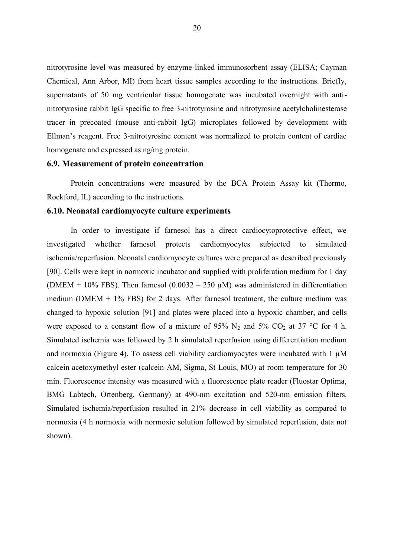nitrotyrosine level was measured by enzyme-linked immunosorbent assay (ELISA; Cayman Chemical, Ann Arbor, MI) from heart tissue samples according to the instructions. Briefly, supernatants of 50 mg ventricular tissue homogenate was incubated overnight with antinitrotyrosine rabbit IgG specific to free 3-nitrotyrosine and nitrotyrosine acetylcholinesterase tracer in precoated (mouse anti-rabbit IgG) microplates followed by development with Ellman's reagent. Free 3-nitrotyrosine content was normalized to protein content of cardiac homogenate and expressed as ng/mg protein.

#### <span id="page-19-0"></span>**6.9. Measurement of protein concentration**

Protein concentrations were measured by the BCA Protein Assay kit (Thermo, Rockford, IL) according to the instructions.

#### <span id="page-19-1"></span>**6.10. Neonatal cardiomyocyte culture experiments**

In order to investigate if farnesol has a direct cardiocytoprotective effect, we investigated whether farnesol protects cardiomyocytes subjected to simulated ischemia/reperfusion. Neonatal cardiomyocyte cultures were prepared as described previously [90]. Cells were kept in normoxic incubator and supplied with proliferation medium for 1 day (DMEM + 10% FBS). Then farnesol (0.0032 – 250  $\mu$ M) was administered in differentiation medium (DMEM  $+$  1% FBS) for 2 days. After farnesol treatment, the culture medium was changed to hypoxic solution [91] and plates were placed into a hypoxic chamber, and cells were exposed to a constant flow of a mixture of 95%  $N_2$  and 5%  $CO_2$  at 37 °C for 4 h. Simulated ischemia was followed by 2 h simulated reperfusion using differentiation medium and normoxia [\(Figure 4\)](#page-20-3). To assess cell viability cardiomyocytes were incubated with  $1 \mu$ M calcein acetoxymethyl ester (calcein-AM, Sigma, St Louis, MO) at room temperature for 30 min. Fluorescence intensity was measured with a fluorescence plate reader (Fluostar Optima, BMG Labtech, Ortenberg, Germany) at 490-nm excitation and 520-nm emission filters. Simulated ischemia/reperfusion resulted in 21% decrease in cell viability as compared to normoxia (4 h normoxia with normoxic solution followed by simulated reperfusion, data not shown).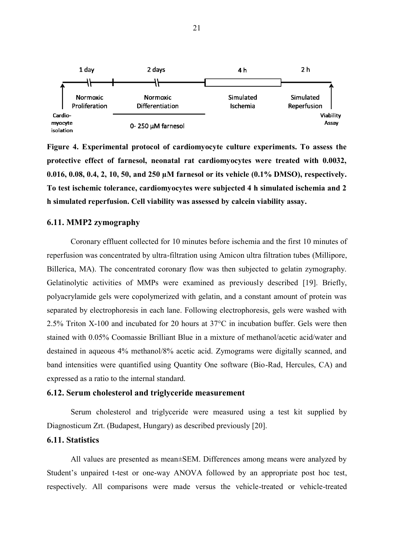

<span id="page-20-3"></span>**Figure 4. Experimental protocol of cardiomyocyte culture experiments. To assess the protective effect of farnesol, neonatal rat cardiomyocytes were treated with 0.0032, 0.016, 0.08, 0.4, 2, 10, 50, and 250 µM farnesol or its vehicle (0.1% DMSO), respectively. To test ischemic tolerance, cardiomyocytes were subjected 4 h simulated ischemia and 2 h simulated reperfusion. Cell viability was assessed by calcein viability assay.**

## <span id="page-20-0"></span>**6.11. MMP2 zymography**

Coronary effluent collected for 10 minutes before ischemia and the first 10 minutes of reperfusion was concentrated by ultra-filtration using Amicon ultra filtration tubes (Millipore, Billerica, MA). The concentrated coronary flow was then subjected to gelatin zymography. Gelatinolytic activities of MMPs were examined as previously described [19]. Briefly, polyacrylamide gels were copolymerized with gelatin, and a constant amount of protein was separated by electrophoresis in each lane. Following electrophoresis, gels were washed with 2.5% Triton X-100 and incubated for 20 hours at 37°C in incubation buffer. Gels were then stained with 0.05% Coomassie Brilliant Blue in a mixture of methanol/acetic acid/water and destained in aqueous 4% methanol/8% acetic acid. Zymograms were digitally scanned, and band intensities were quantified using Quantity One software (Bio-Rad, Hercules, CA) and expressed as a ratio to the internal standard.

#### <span id="page-20-1"></span>**6.12. Serum cholesterol and triglyceride measurement**

Serum cholesterol and triglyceride were measured using a test kit supplied by Diagnosticum Zrt. (Budapest, Hungary) as described previously [20].

#### <span id="page-20-2"></span>**6.11. Statistics**

All values are presented as mean±SEM. Differences among means were analyzed by Student's unpaired t-test or one-way ANOVA followed by an appropriate post hoc test, respectively. All comparisons were made versus the vehicle-treated or vehicle-treated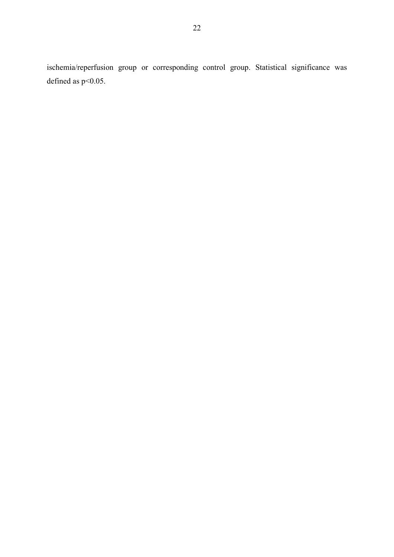ischemia/reperfusion group or corresponding control group. Statistical significance was defined as  $p<0.05$ .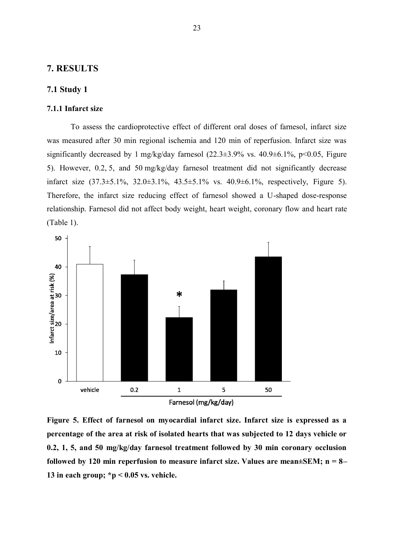#### <span id="page-22-0"></span>**7. RESULTS**

#### <span id="page-22-1"></span>**7.1 Study 1**

#### <span id="page-22-2"></span>**7.1.1 Infarct size**

To assess the cardioprotective effect of different oral doses of farnesol, infarct size was measured after 30 min regional ischemia and 120 min of reperfusion. Infarct size was significantly decreased by 1 mg/kg/day farnesol  $(22.3\pm3.9\% \text{ vs. } 40.9\pm6.1\%, \text{ p} < 0.05, \text{ Figure}$ [5\)](#page-22-3). However, 0.2, 5, and 50 mg/kg/day farnesol treatment did not significantly decrease infarct size (37.3±5.1%, 32.0±3.1%, 43.5±5.1% vs. 40.9±6.1%, respectively, [Figure 5\)](#page-22-3). Therefore, the infarct size reducing effect of farnesol showed a U-shaped dose-response relationship. Farnesol did not affect body weight, heart weight, coronary flow and heart rate [\(Table 1\)](#page-23-1).



<span id="page-22-3"></span>**Figure 5. Effect of farnesol on myocardial infarct size. Infarct size is expressed as a percentage of the area at risk of isolated hearts that was subjected to 12 days vehicle or 0.2, 1, 5, and 50 mg/kg/day farnesol treatment followed by 30 min coronary occlusion followed by 120 min reperfusion to measure infarct size. Values are mean±SEM; n = 8– 13 in each group; \*p < 0.05 vs. vehicle.**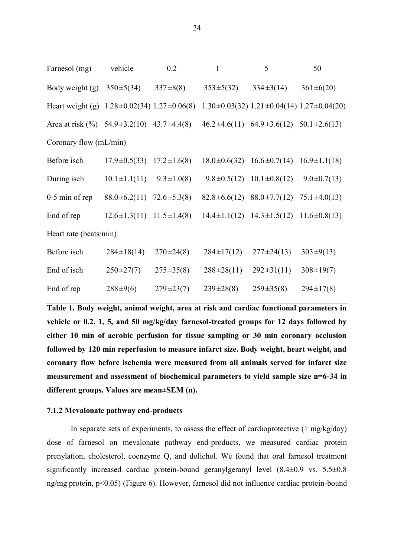| Farnesol (mg)                                         | vehicle                              | 0.2               | 1                                                        | 5                                                           | 50                |
|-------------------------------------------------------|--------------------------------------|-------------------|----------------------------------------------------------|-------------------------------------------------------------|-------------------|
| Body weight (g)                                       | $350 \pm 5(34)$                      | $337 \pm 8(8)$    | $353 \pm 5(32)$                                          | $334 \pm 3(14)$                                             | $361 \pm 6(20)$   |
| Heart weight (g) $1.28 \pm 0.02(34) 1.27 \pm 0.06(8)$ |                                      |                   |                                                          | $1.30 \pm 0.03(32)$ $1.21 \pm 0.04(14)$ $1.27 \pm 0.04(20)$ |                   |
| Area at risk $(\%)$ 54.9±3.2(10) 43.7±4.4(8)          |                                      |                   | $46.2 \pm 4.6(11)$ $64.9 \pm 3.6(12)$ $50.1 \pm 2.6(13)$ |                                                             |                   |
| Coronary flow (mL/min)                                |                                      |                   |                                                          |                                                             |                   |
| Before isch                                           | $17.9 \pm 0.5(33)$                   | $17.2 \pm 1.6(8)$ |                                                          | $18.0\pm0.6(32)$ $16.6\pm0.7(14)$ $16.9\pm1.1(18)$          |                   |
| During isch                                           | $10.1 \pm 1.1(11)$                   | $9.3 \pm 1.0(8)$  |                                                          | $9.8 \pm 0.5(12)$ $10.1 \pm 0.8(12)$                        | $9.0 \pm 0.7(13)$ |
| 0-5 min of rep                                        | $88.0 \pm 6.2(11)$                   | $72.6 \pm 5.3(8)$ |                                                          | $82.8 \pm 6.6(12)$ $88.0 \pm 7.7(12)$ $75.1 \pm 4.0(13)$    |                   |
| End of rep                                            | $12.6 \pm 1.3(11)$ $11.5 \pm 1.4(8)$ |                   |                                                          | $14.4 \pm 1.1(12)$ $14.3 \pm 1.5(12)$ $11.6 \pm 0.8(13)$    |                   |
| Heart rate (beats/min)                                |                                      |                   |                                                          |                                                             |                   |
| Before isch                                           | $284 \pm 18(14)$                     | $270 \pm 24(8)$   | $284 \pm 17(12)$                                         | $277 \pm 24(13)$                                            | $303 \pm 9(13)$   |
| End of isch                                           | $250 \pm 27(7)$                      | $275 \pm 35(8)$   | $288 \pm 28(11)$                                         | $292 \pm 31(11)$                                            | $308 \pm 19(7)$   |
| End of rep                                            | $288 \pm 9(6)$                       | $279 \pm 23(7)$   | $239 \pm 28(8)$                                          | $259 \pm 35(8)$                                             | $294 \pm 17(8)$   |

<span id="page-23-1"></span>**Table 1. Body weight, animal weight, area at risk and cardiac functional parameters in vehicle or 0.2, 1, 5, and 50 mg/kg/day farnesol-treated groups for 12 days followed by either 10 min of aerobic perfusion for tissue sampling or 30 min coronary occlusion followed by 120 min reperfusion to measure infarct size. Body weight, heart weight, and coronary flow before ischemia were measured from all animals served for infarct size measurement and assessment of biochemical parameters to yield sample size n=6-34 in different groups. Values are mean±SEM (n).**

#### <span id="page-23-0"></span>**7.1.2 Mevalonate pathway end-products**

In separate sets of experiments, to assess the effect of cardioprotective (1 mg/kg/day) dose of farnesol on mevalonate pathway end-products, we measured cardiac protein prenylation, cholesterol, coenzyme Q, and dolichol. We found that oral farnesol treatment significantly increased cardiac protein-bound geranylgeranyl level (8.4±0.9 vs. 5.5±0.8 ng/mg protein, p<0.05) [\(Figure 6\)](#page-24-1). However, farnesol did not influence cardiac protein-bound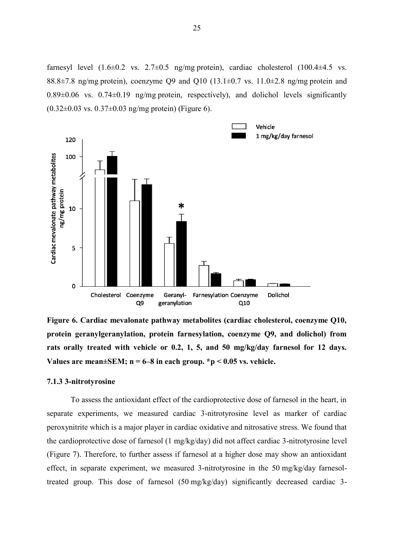farnesyl level  $(1.6\pm0.2 \text{ vs. } 2.7\pm0.5 \text{ ng/mg protein})$ , cardiac cholesterol  $(100.4\pm4.5 \text{ vs. } 2.7\pm0.5 \text{ mg/mg protein})$ 88.8 $\pm$ 7.8 ng/mg protein), coenzyme Q9 and Q10 (13.1 $\pm$ 0.7 vs. 11.0 $\pm$ 2.8 ng/mg protein and  $0.89\pm0.06$  vs.  $0.74\pm0.19$  ng/mg protein, respectively), and dolichol levels significantly  $(0.32\pm0.03 \text{ vs. } 0.37\pm0.03 \text{ ng/mg protein})$  [\(Figure 6\)](#page-24-1).



<span id="page-24-1"></span>**Figure 6. Cardiac mevalonate pathway metabolites (cardiac cholesterol, coenzyme Q10, protein geranylgeranylation, protein farnesylation, coenzyme Q9, and dolichol) from rats orally treated with vehicle or 0.2, 1, 5, and 50 mg/kg/day farnesol for 12 days. Values are mean±SEM; n = 6–8 in each group. \*p < 0.05 vs. vehicle.**

#### <span id="page-24-0"></span>**7.1.3 3-nitrotyrosine**

To assess the antioxidant effect of the cardioprotective dose of farnesol in the heart, in separate experiments, we measured cardiac 3-nitrotyrosine level as marker of cardiac peroxynitrite which is a major player in cardiac oxidative and nitrosative stress. We found that the cardioprotective dose of farnesol (1 mg/kg/day) did not affect cardiac 3-nitrotyrosine level [\(Figure 7\)](#page-25-1). Therefore, to further assess if farnesol at a higher dose may show an antioxidant effect, in separate experiment, we measured 3-nitrotyrosine in the 50 mg/kg/day farnesoltreated group. This dose of farnesol (50 mg/kg/day) significantly decreased cardiac 3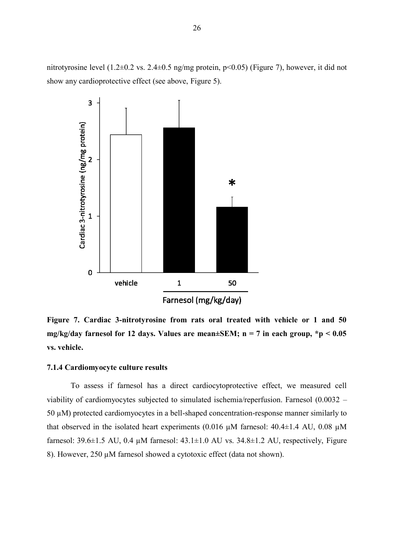nitrotyrosine level (1.2±0.2 vs. 2.4±0.5 ng/mg protein, p<0.05) [\(Figure 7\)](#page-25-1), however, it did not show any cardioprotective effect (see above, [Figure 5\)](#page-22-3).



<span id="page-25-1"></span>**Figure 7. Cardiac 3-nitrotyrosine from rats oral treated with vehicle or 1 and 50 mg/kg/day farnesol for 12 days. Values are mean±SEM; n = 7 in each group, \*p < 0.05 vs. vehicle.**

#### <span id="page-25-0"></span>**7.1.4 Cardiomyocyte culture results**

To assess if farnesol has a direct cardiocytoprotective effect, we measured cell viability of cardiomyocytes subjected to simulated ischemia/reperfusion. Farnesol (0.0032 – 50 µM) protected cardiomyocytes in a bell-shaped concentration-response manner similarly to that observed in the isolated heart experiments (0.016  $\mu$ M farnesol: 40.4 $\pm$ 1.4 AU, 0.08  $\mu$ M farnesol: 39.6 $\pm$ 1.5 AU, 0.4 µM farnesol: 43.1 $\pm$ 1.0 AU vs. 34.8 $\pm$ 1.2 AU, respectively, Figure [8](#page-26-2)). However, 250 µM farnesol showed a cytotoxic effect (data not shown).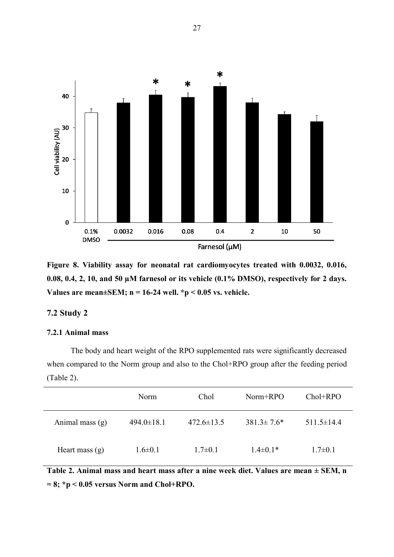

<span id="page-26-2"></span>**Figure 8. Viability assay for neonatal rat cardiomyocytes treated with 0.0032, 0.016, 0.08, 0.4, 2, 10, and 50 µM farnesol or its vehicle (0.1% DMSO), respectively for 2 days. Values are mean±SEM; n = 16-24 well. \*p < 0.05 vs. vehicle.**

## <span id="page-26-0"></span>**7.2 Study 2**

#### <span id="page-26-1"></span>**7.2.1 Animal mass**

The body and heart weight of the RPO supplemented rats were significantly decreased when compared to the Norm group and also to the Chol+RPO group after the feeding period [\(Table 2\)](#page-26-3).

|                   | <b>Norm</b>      | Chol             | $Norm+RPO$        | $Chol+RPO$       |
|-------------------|------------------|------------------|-------------------|------------------|
| Animal mass $(g)$ | $494.0 \pm 18.1$ | $472.6 \pm 13.5$ | $381.3 \pm 7.6^*$ | $511.5 \pm 14.4$ |
| Heart mass $(g)$  | $1.6 \pm 0.1$    | $1.7 \pm 0.1$    | $1.4\pm0.1*$      | $1.7 \pm 0.1$    |

<span id="page-26-3"></span>**Table 2. Animal mass and heart mass after a nine week diet. Values are mean ± SEM, n = 8; \*p < 0.05 versus Norm and Chol+RPO.**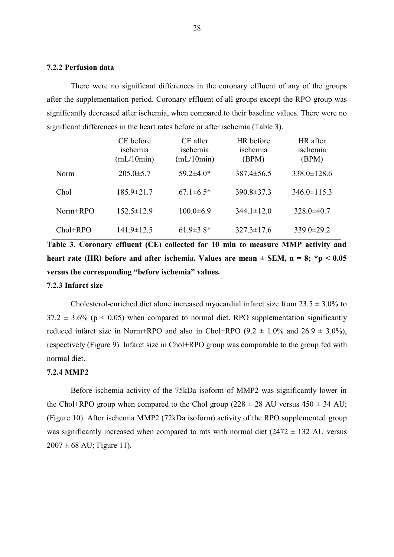#### <span id="page-27-0"></span>**7.2.2 Perfusion data**

There were no significant differences in the coronary effluent of any of the groups after the supplementation period. Coronary effluent of all groups except the RPO group was significantly decreased after ischemia, when compared to their baseline values. There were no significant differences in the heart rates before or after ischemia [\(Table 3\)](#page-27-3).

|            | CE before<br>ischemia<br>mL/10min) | CE after<br>ischemia<br>mL/10min) | HR before<br>ischemia<br>(BPM) | HR after<br>ischemia<br><b>BPM</b> |
|------------|------------------------------------|-----------------------------------|--------------------------------|------------------------------------|
| Norm       | $205.0 \pm 5.7$                    | $59.2 \pm 4.0*$                   | $387.4 \pm 56.5$               | $338.0 \pm 128.6$                  |
| Chol       | $185.9 \pm 21.7$                   | $67.1 \pm 6.5*$                   | $390.8 \pm 37.3$               | $346.0 \pm 115.3$                  |
| Norm+RPO   | $152.5 \pm 12.9$                   | $100.0 \pm 6.9$                   | $344.1 \pm 12.0$               | $328.0 \pm 40.7$                   |
| $Chol+RPO$ | $141.9 \pm 12.5$                   | $61.9 \pm 3.8^*$                  | $327.3 \pm 17.6$               | $339.0 \pm 29.2$                   |

<span id="page-27-3"></span>**Table 3. Coronary effluent (CE) collected for 10 min to measure MMP activity and heart rate (HR) before and after ischemia. Values are mean ± SEM, n = 8; \*p < 0.05 versus the corresponding "before ischemia" values.**

#### <span id="page-27-1"></span>**7.2.3 Infarct size**

Cholesterol-enriched diet alone increased myocardial infarct size from  $23.5 \pm 3.0\%$  to  $37.2 \pm 3.6\%$  (p < 0.05) when compared to normal diet. RPO supplementation significantly reduced infarct size in Norm+RPO and also in Chol+RPO (9.2  $\pm$  1.0% and 26.9  $\pm$  3.0%), respectively [\(Figure 9\)](#page-28-1). Infarct size in Chol+RPO group was comparable to the group fed with normal diet.

#### <span id="page-27-2"></span>**7.2.4 MMP2**

Before ischemia activity of the 75kDa isoform of MMP2 was significantly lower in the Chol+RPO group when compared to the Chol group ( $228 \pm 28$  AU versus  $450 \pm 34$  AU; [\(Figure 10\)](#page-29-0). After ischemia MMP2 (72kDa isoform) activity of the RPO supplemented group was significantly increased when compared to rats with normal diet  $(2472 \pm 132 \text{ AU}$  versus  $2007 \pm 68$  AU; [Figure 11\)](#page-30-0).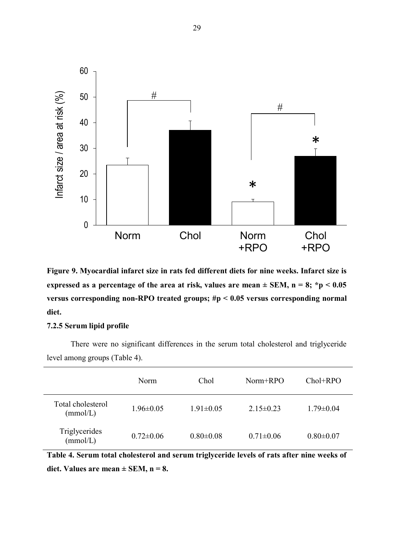

<span id="page-28-1"></span>**Figure 9. Myocardial infarct size in rats fed different diets for nine weeks. Infarct size is**  expressed as a percentage of the area at risk, values are mean  $\pm$  SEM, n = 8; \*p < 0.05 **versus corresponding non-RPO treated groups; #p < 0.05 versus corresponding normal diet.**

#### <span id="page-28-0"></span>**7.2.5 Serum lipid profile**

There were no significant differences in the serum total cholesterol and triglyceride level among groups [\(Table 4\)](#page-28-2).

|                               | Norm            | Chol            | Norm+RPO        | $Chol+RPO$      |
|-------------------------------|-----------------|-----------------|-----------------|-----------------|
| Total cholesterol<br>(mmol/L) | $1.96 \pm 0.05$ | $1.91 \pm 0.05$ | $2.15 \pm 0.23$ | $1.79 \pm 0.04$ |
| Triglycerides<br>(mmol/L)     | $0.72 \pm 0.06$ | $0.80 \pm 0.08$ | $0.71 \pm 0.06$ | $0.80 \pm 0.07$ |

<span id="page-28-2"></span>**Table 4. Serum total cholesterol and serum triglyceride levels of rats after nine weeks of**  diet. Values are mean  $\pm$  SEM, n = 8.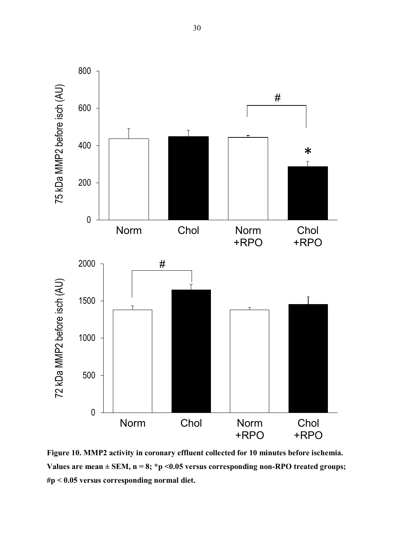

<span id="page-29-0"></span>**Figure 10. MMP2 activity in coronary effluent collected for 10 minutes before ischemia.**  Values are mean  $\pm$  SEM, n = 8; \*p <0.05 versus corresponding non-RPO treated groups; **#p < 0.05 versus corresponding normal diet.**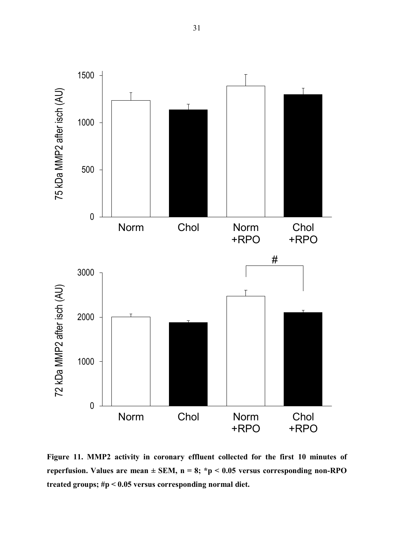

<span id="page-30-0"></span>**Figure 11. MMP2 activity in coronary effluent collected for the first 10 minutes of reperfusion. Values are mean ± SEM, n = 8; \*p < 0.05 versus corresponding non-RPO treated groups; #p < 0.05 versus corresponding normal diet.**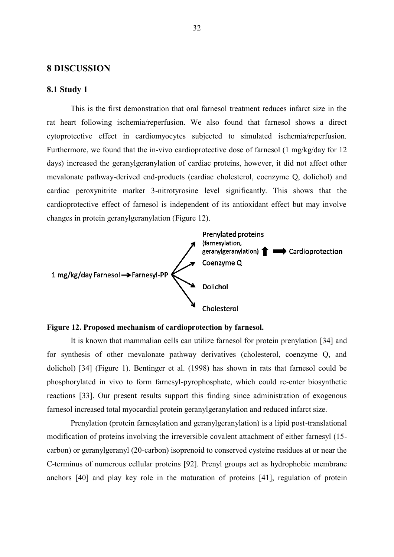#### <span id="page-31-0"></span>**8 DISCUSSION**

#### <span id="page-31-1"></span>**8.1 Study 1**

This is the first demonstration that oral farnesol treatment reduces infarct size in the rat heart following ischemia/reperfusion. We also found that farnesol shows a direct cytoprotective effect in cardiomyocytes subjected to simulated ischemia/reperfusion. Furthermore, we found that the in-vivo cardioprotective dose of farnesol (1 mg/kg/day for 12 days) increased the geranylgeranylation of cardiac proteins, however, it did not affect other mevalonate pathway-derived end-products (cardiac cholesterol, coenzyme Q, dolichol) and cardiac peroxynitrite marker 3-nitrotyrosine level significantly. This shows that the cardioprotective effect of farnesol is independent of its antioxidant effect but may involve changes in protein geranylgeranylation [\(Figure 12\)](#page-31-2).



#### <span id="page-31-2"></span>**Figure 12. Proposed mechanism of cardioprotection by farnesol.**

It is known that mammalian cells can utilize farnesol for protein prenylation [34] and for synthesis of other mevalonate pathway derivatives (cholesterol, coenzyme Q, and dolichol) [34] [\(Figure 1\)](#page-10-0). Bentinger et al. (1998) has shown in rats that farnesol could be phosphorylated in vivo to form farnesyl-pyrophosphate, which could re-enter biosynthetic reactions [33]. Our present results support this finding since administration of exogenous farnesol increased total myocardial protein geranylgeranylation and reduced infarct size.

Prenylation (protein farnesylation and geranylgeranylation) is a lipid post-translational modification of proteins involving the irreversible covalent attachment of either farnesyl (15 carbon) or geranylgeranyl (20-carbon) isoprenoid to conserved cysteine residues at or near the C-terminus of numerous cellular proteins [92]. Prenyl groups act as hydrophobic membrane anchors [40] and play key role in the maturation of proteins [41], regulation of protein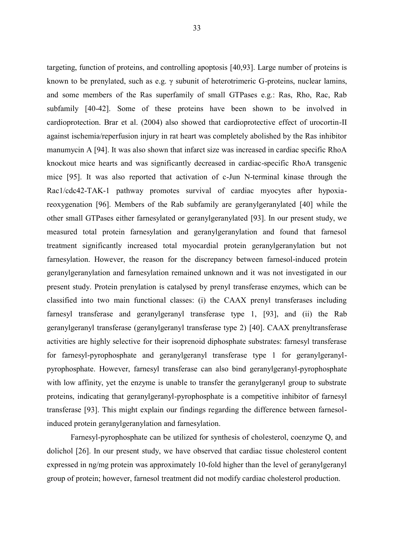targeting, function of proteins, and controlling apoptosis [40,93]. Large number of proteins is known to be prenylated, such as e.g. γ subunit of heterotrimeric G-proteins, nuclear lamins, and some members of the Ras superfamily of small GTPases e.g.: Ras, Rho, Rac, Rab subfamily [40-42]. Some of these proteins have been shown to be involved in cardioprotection. Brar et al. (2004) also showed that cardioprotective effect of urocortin-II against ischemia/reperfusion injury in rat heart was completely abolished by the Ras inhibitor manumycin A [94]. It was also shown that infarct size was increased in cardiac specific RhoA knockout mice hearts and was significantly decreased in cardiac-specific RhoA transgenic mice [95]. It was also reported that activation of c-Jun N-terminal kinase through the Rac1/cdc42-TAK-1 pathway promotes survival of cardiac myocytes after hypoxiareoxygenation [96]. Members of the Rab subfamily are geranylgeranylated [40] while the other small GTPases either farnesylated or geranylgeranylated [93]. In our present study, we measured total protein farnesylation and geranylgeranylation and found that farnesol treatment significantly increased total myocardial protein geranylgeranylation but not farnesylation. However, the reason for the discrepancy between farnesol-induced protein geranylgeranylation and farnesylation remained unknown and it was not investigated in our present study. Protein prenylation is catalysed by prenyl transferase enzymes, which can be classified into two main functional classes: (i) the CAAX prenyl transferases including farnesyl transferase and geranylgeranyl transferase type 1, [93], and (ii) the Rab geranylgeranyl transferase (geranylgeranyl transferase type 2) [40]. CAAX prenyltransferase activities are highly selective for their isoprenoid diphosphate substrates: farnesyl transferase for farnesyl-pyrophosphate and geranylgeranyl transferase type 1 for geranylgeranylpyrophosphate. However, farnesyl transferase can also bind geranylgeranyl-pyrophosphate with low affinity, yet the enzyme is unable to transfer the geranylgeranyl group to substrate proteins, indicating that geranylgeranyl-pyrophosphate is a competitive inhibitor of farnesyl transferase [93]. This might explain our findings regarding the difference between farnesolinduced protein geranylgeranylation and farnesylation.

Farnesyl-pyrophosphate can be utilized for synthesis of cholesterol, coenzyme Q, and dolichol [26]. In our present study, we have observed that cardiac tissue cholesterol content expressed in ng/mg protein was approximately 10-fold higher than the level of geranylgeranyl group of protein; however, farnesol treatment did not modify cardiac cholesterol production.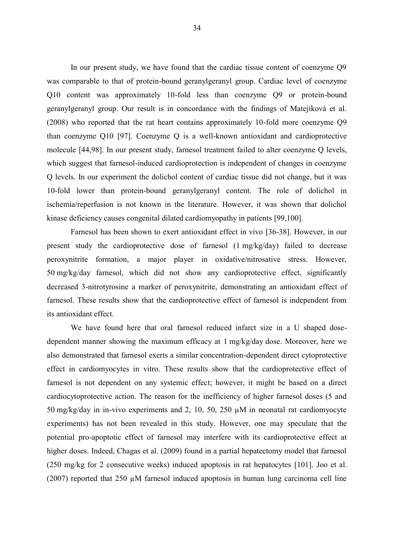In our present study, we have found that the cardiac tissue content of coenzyme Q9 was comparable to that of protein-bound geranylgeranyl group. Cardiac level of coenzyme Q10 content was approximately 10-fold less than coenzyme Q9 or protein-bound geranylgeranyl group. Our result is in concordance with the findings of Matejíková et al. (2008) who reported that the rat heart contains approximately 10-fold more coenzyme Q9 than coenzyme Q10 [97]. Coenzyme Q is a well-known antioxidant and cardioprotective molecule [44,98]. In our present study, farnesol treatment failed to alter coenzyme Q levels, which suggest that farnesol-induced cardioprotection is independent of changes in coenzyme Q levels. In our experiment the dolichol content of cardiac tissue did not change, but it was 10-fold lower than protein-bound geranylgeranyl content. The role of dolichol in ischemia/reperfusion is not known in the literature. However, it was shown that dolichol kinase deficiency causes congenital dilated cardiomyopathy in patients [99,100].

Farnesol has been shown to exert antioxidant effect in vivo [36-38]. However, in our present study the cardioprotective dose of farnesol (1 mg/kg/day) failed to decrease peroxynitrite formation, a major player in oxidative/nitrosative stress. However, 50 mg/kg/day farnesol, which did not show any cardioprotective effect, significantly decreased 3-nitrotyrosine a marker of peroxynitrite, demonstrating an antioxidant effect of farnesol. These results show that the cardioprotective effect of farnesol is independent from its antioxidant effect.

We have found here that oral farnesol reduced infarct size in a U shaped dosedependent manner showing the maximum efficacy at 1 mg/kg/day dose. Moreover, here we also demonstrated that farnesol exerts a similar concentration-dependent direct cytoprotective effect in cardiomyocytes in vitro. These results show that the cardioprotective effect of farnesol is not dependent on any systemic effect; however, it might be based on a direct cardiocytoprotective action. The reason for the inefficiency of higher farnesol doses (5 and 50 mg/kg/day in in-vivo experiments and 2, 10, 50, 250 µM in neonatal rat cardiomyocyte experiments) has not been revealed in this study. However, one may speculate that the potential pro-apoptotic effect of farnesol may interfere with its cardioprotective effect at higher doses. Indeed, Chagas et al. (2009) found in a partial hepatectomy model that farnesol (250 mg/kg for 2 consecutive weeks) induced apoptosis in rat hepatocytes [101]. Joo et al. (2007) reported that 250 µM farnesol induced apoptosis in human lung carcinoma cell line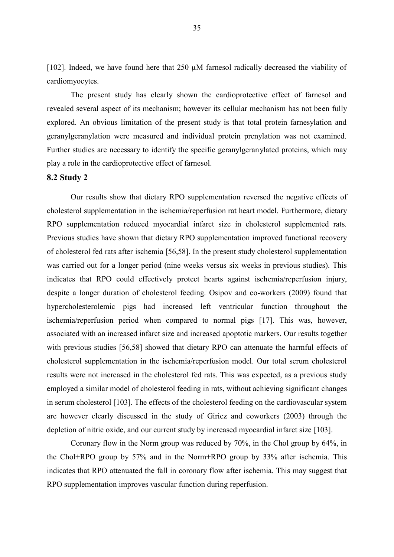[102]. Indeed, we have found here that  $250 \mu M$  farnesol radically decreased the viability of cardiomyocytes.

The present study has clearly shown the cardioprotective effect of farnesol and revealed several aspect of its mechanism; however its cellular mechanism has not been fully explored. An obvious limitation of the present study is that total protein farnesylation and geranylgeranylation were measured and individual protein prenylation was not examined. Further studies are necessary to identify the specific geranylgeranylated proteins, which may play a role in the cardioprotective effect of farnesol.

#### <span id="page-34-0"></span>**8.2 Study 2**

Our results show that dietary RPO supplementation reversed the negative effects of cholesterol supplementation in the ischemia/reperfusion rat heart model. Furthermore, dietary RPO supplementation reduced myocardial infarct size in cholesterol supplemented rats. Previous studies have shown that dietary RPO supplementation improved functional recovery of cholesterol fed rats after ischemia [56,58]. In the present study cholesterol supplementation was carried out for a longer period (nine weeks versus six weeks in previous studies). This indicates that RPO could effectively protect hearts against ischemia/reperfusion injury, despite a longer duration of cholesterol feeding. Osipov and co-workers (2009) found that hypercholesterolemic pigs had increased left ventricular function throughout the ischemia/reperfusion period when compared to normal pigs [17]. This was, however, associated with an increased infarct size and increased apoptotic markers. Our results together with previous studies [56,58] showed that dietary RPO can attenuate the harmful effects of cholesterol supplementation in the ischemia/reperfusion model. Our total serum cholesterol results were not increased in the cholesterol fed rats. This was expected, as a previous study employed a similar model of cholesterol feeding in rats, without achieving significant changes in serum cholesterol [103]. The effects of the cholesterol feeding on the cardiovascular system are however clearly discussed in the study of Giricz and coworkers (2003) through the depletion of nitric oxide, and our current study by increased myocardial infarct size [103].

Coronary flow in the Norm group was reduced by 70%, in the Chol group by 64%, in the Chol+RPO group by 57% and in the Norm+RPO group by 33% after ischemia. This indicates that RPO attenuated the fall in coronary flow after ischemia. This may suggest that RPO supplementation improves vascular function during reperfusion.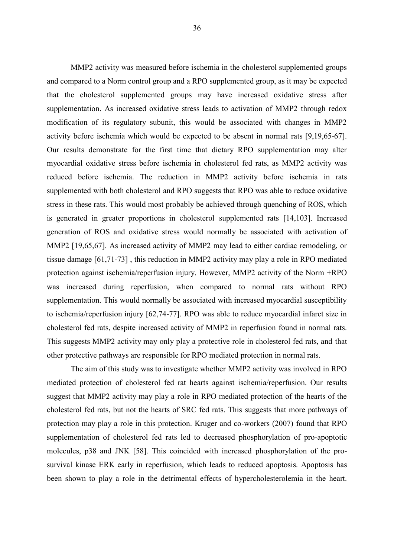MMP2 activity was measured before ischemia in the cholesterol supplemented groups and compared to a Norm control group and a RPO supplemented group, as it may be expected that the cholesterol supplemented groups may have increased oxidative stress after supplementation. As increased oxidative stress leads to activation of MMP2 through redox modification of its regulatory subunit, this would be associated with changes in MMP2 activity before ischemia which would be expected to be absent in normal rats [9,19,65-67]. Our results demonstrate for the first time that dietary RPO supplementation may alter myocardial oxidative stress before ischemia in cholesterol fed rats, as MMP2 activity was reduced before ischemia. The reduction in MMP2 activity before ischemia in rats supplemented with both cholesterol and RPO suggests that RPO was able to reduce oxidative stress in these rats. This would most probably be achieved through quenching of ROS, which is generated in greater proportions in cholesterol supplemented rats [14,103]. Increased generation of ROS and oxidative stress would normally be associated with activation of MMP2 [19,65,67]. As increased activity of MMP2 may lead to either cardiac remodeling, or tissue damage [61,71-73] , this reduction in MMP2 activity may play a role in RPO mediated protection against ischemia/reperfusion injury. However, MMP2 activity of the Norm +RPO was increased during reperfusion, when compared to normal rats without RPO supplementation. This would normally be associated with increased myocardial susceptibility to ischemia/reperfusion injury [62,74-77]. RPO was able to reduce myocardial infarct size in cholesterol fed rats, despite increased activity of MMP2 in reperfusion found in normal rats. This suggests MMP2 activity may only play a protective role in cholesterol fed rats, and that other protective pathways are responsible for RPO mediated protection in normal rats.

The aim of this study was to investigate whether MMP2 activity was involved in RPO mediated protection of cholesterol fed rat hearts against ischemia/reperfusion. Our results suggest that MMP2 activity may play a role in RPO mediated protection of the hearts of the cholesterol fed rats, but not the hearts of SRC fed rats. This suggests that more pathways of protection may play a role in this protection. Kruger and co-workers (2007) found that RPO supplementation of cholesterol fed rats led to decreased phosphorylation of pro-apoptotic molecules, p38 and JNK [58]. This coincided with increased phosphorylation of the prosurvival kinase ERK early in reperfusion, which leads to reduced apoptosis. Apoptosis has been shown to play a role in the detrimental effects of hypercholesterolemia in the heart.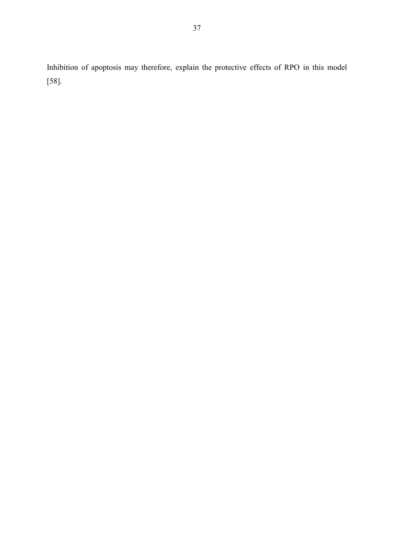Inhibition of apoptosis may therefore, explain the protective effects of RPO in this model [58].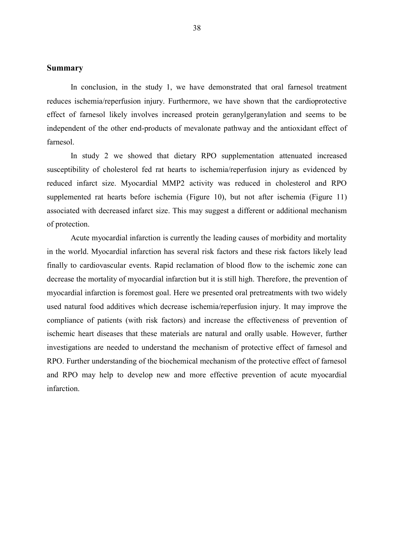#### <span id="page-37-0"></span>**Summary**

In conclusion, in the study 1, we have demonstrated that oral farnesol treatment reduces ischemia/reperfusion injury. Furthermore, we have shown that the cardioprotective effect of farnesol likely involves increased protein geranylgeranylation and seems to be independent of the other end-products of mevalonate pathway and the antioxidant effect of farnesol.

In study 2 we showed that dietary RPO supplementation attenuated increased susceptibility of cholesterol fed rat hearts to ischemia/reperfusion injury as evidenced by reduced infarct size. Myocardial MMP2 activity was reduced in cholesterol and RPO supplemented rat hearts before ischemia [\(Figure 10\)](#page-29-0), but not after ischemia [\(Figure 11\)](#page-30-0) associated with decreased infarct size. This may suggest a different or additional mechanism of protection.

Acute myocardial infarction is currently the leading causes of morbidity and mortality in the world. Myocardial infarction has several risk factors and these risk factors likely lead finally to cardiovascular events. Rapid reclamation of blood flow to the ischemic zone can decrease the mortality of myocardial infarction but it is still high. Therefore, the prevention of myocardial infarction is foremost goal. Here we presented oral pretreatments with two widely used natural food additives which decrease ischemia/reperfusion injury. It may improve the compliance of patients (with risk factors) and increase the effectiveness of prevention of ischemic heart diseases that these materials are natural and orally usable. However, further investigations are needed to understand the mechanism of protective effect of farnesol and RPO. Further understanding of the biochemical mechanism of the protective effect of farnesol and RPO may help to develop new and more effective prevention of acute myocardial infarction.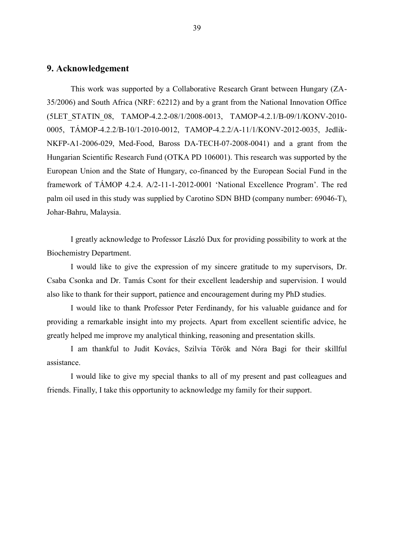#### <span id="page-38-0"></span>**9. Acknowledgement**

This work was supported by a Collaborative Research Grant between Hungary (ZA-35/2006) and South Africa (NRF: 62212) and by a grant from the National Innovation Office (5LET\_STATIN\_08, TAMOP-4.2.2-08/1/2008-0013, TAMOP-4.2.1/B-09/1/KONV-2010- 0005, TÁMOP-4.2.2/B-10/1-2010-0012, TAMOP-4.2.2/A-11/1/KONV-2012-0035, Jedlik-NKFP-A1-2006-029, Med-Food, Baross DA-TECH-07-2008-0041) and a grant from the Hungarian Scientific Research Fund (OTKA PD 106001). This research was supported by the European Union and the State of Hungary, co-financed by the European Social Fund in the framework of TÁMOP 4.2.4. A/2-11-1-2012-0001 'National Excellence Program'. The red palm oil used in this study was supplied by Carotino SDN BHD (company number: 69046-T), Johar-Bahru, Malaysia.

I greatly acknowledge to Professor László Dux for providing possibility to work at the Biochemistry Department.

I would like to give the expression of my sincere gratitude to my supervisors, Dr. Csaba Csonka and Dr. Tamás Csont for their excellent leadership and supervision. I would also like to thank for their support, patience and encouragement during my PhD studies.

I would like to thank Professor Peter Ferdinandy, for his valuable guidance and for providing a remarkable insight into my projects. Apart from excellent scientific advice, he greatly helped me improve my analytical thinking, reasoning and presentation skills.

I am thankful to Judit Kovács, Szilvia Török and Nóra Bagi for their skillful assistance.

I would like to give my special thanks to all of my present and past colleagues and friends. Finally, I take this opportunity to acknowledge my family for their support.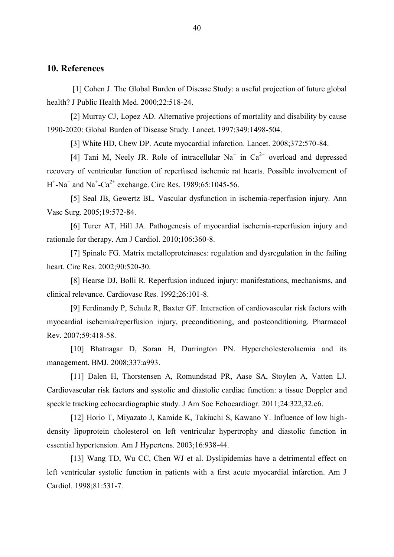#### <span id="page-39-0"></span>**10. References**

[1] Cohen J. The Global Burden of Disease Study: a useful projection of future global health? J Public Health Med. 2000;22:518-24.

[2] Murray CJ, Lopez AD. Alternative projections of mortality and disability by cause 1990-2020: Global Burden of Disease Study. Lancet. 1997;349:1498-504.

[3] White HD, Chew DP. Acute myocardial infarction. Lancet. 2008;372:570-84.

[4] Tani M, Neely JR. Role of intracellular Na<sup>+</sup> in  $Ca^{2+}$  overload and depressed recovery of ventricular function of reperfused ischemic rat hearts. Possible involvement of  $H^+$ -Na<sup>+</sup> and Na<sup>+</sup>-Ca<sup>2+</sup> exchange. Circ Res. 1989;65:1045-56.

[5] Seal JB, Gewertz BL. Vascular dysfunction in ischemia-reperfusion injury. Ann Vasc Surg. 2005;19:572-84.

[6] Turer AT, Hill JA. Pathogenesis of myocardial ischemia-reperfusion injury and rationale for therapy. Am J Cardiol. 2010;106:360-8.

[7] Spinale FG. Matrix metalloproteinases: regulation and dysregulation in the failing heart. Circ Res. 2002;90:520-30.

[8] Hearse DJ, Bolli R. Reperfusion induced injury: manifestations, mechanisms, and clinical relevance. Cardiovasc Res. 1992;26:101-8.

[9] Ferdinandy P, Schulz R, Baxter GF. Interaction of cardiovascular risk factors with myocardial ischemia/reperfusion injury, preconditioning, and postconditioning. Pharmacol Rev. 2007;59:418-58.

[10] Bhatnagar D, Soran H, Durrington PN. Hypercholesterolaemia and its management. BMJ. 2008;337:a993.

[11] Dalen H, Thorstensen A, Romundstad PR, Aase SA, Stoylen A, Vatten LJ. Cardiovascular risk factors and systolic and diastolic cardiac function: a tissue Doppler and speckle tracking echocardiographic study. J Am Soc Echocardiogr. 2011;24:322,32.e6.

[12] Horio T, Miyazato J, Kamide K, Takiuchi S, Kawano Y. Influence of low highdensity lipoprotein cholesterol on left ventricular hypertrophy and diastolic function in essential hypertension. Am J Hypertens. 2003;16:938-44.

[13] Wang TD, Wu CC, Chen WJ et al. Dyslipidemias have a detrimental effect on left ventricular systolic function in patients with a first acute myocardial infarction. Am J Cardiol. 1998;81:531-7.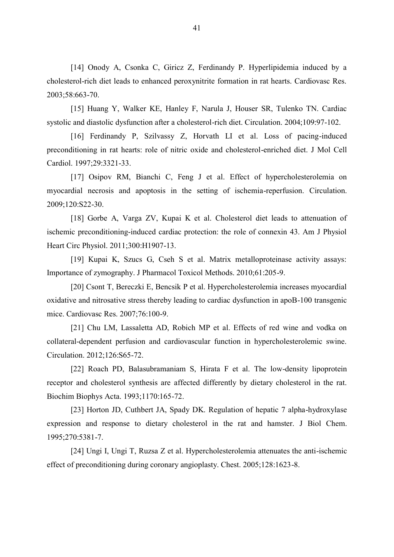[14] Onody A, Csonka C, Giricz Z, Ferdinandy P. Hyperlipidemia induced by a cholesterol-rich diet leads to enhanced peroxynitrite formation in rat hearts. Cardiovasc Res. 2003;58:663-70.

[15] Huang Y, Walker KE, Hanley F, Narula J, Houser SR, Tulenko TN. Cardiac systolic and diastolic dysfunction after a cholesterol-rich diet. Circulation. 2004;109:97-102.

[16] Ferdinandy P, Szilvassy Z, Horvath LI et al. Loss of pacing-induced preconditioning in rat hearts: role of nitric oxide and cholesterol-enriched diet. J Mol Cell Cardiol. 1997;29:3321-33.

[17] Osipov RM, Bianchi C, Feng J et al. Effect of hypercholesterolemia on myocardial necrosis and apoptosis in the setting of ischemia-reperfusion. Circulation. 2009;120:S22-30.

[18] Gorbe A, Varga ZV, Kupai K et al. Cholesterol diet leads to attenuation of ischemic preconditioning-induced cardiac protection: the role of connexin 43. Am J Physiol Heart Circ Physiol. 2011;300:H1907-13.

[19] Kupai K, Szucs G, Cseh S et al. Matrix metalloproteinase activity assays: Importance of zymography. J Pharmacol Toxicol Methods. 2010;61:205-9.

[20] Csont T, Bereczki E, Bencsik P et al. Hypercholesterolemia increases myocardial oxidative and nitrosative stress thereby leading to cardiac dysfunction in apoB-100 transgenic mice. Cardiovasc Res. 2007;76:100-9.

[21] Chu LM, Lassaletta AD, Robich MP et al. Effects of red wine and vodka on collateral-dependent perfusion and cardiovascular function in hypercholesterolemic swine. Circulation. 2012;126:S65-72.

[22] Roach PD, Balasubramaniam S, Hirata F et al. The low-density lipoprotein receptor and cholesterol synthesis are affected differently by dietary cholesterol in the rat. Biochim Biophys Acta. 1993;1170:165-72.

[23] Horton JD, Cuthbert JA, Spady DK. Regulation of hepatic 7 alpha-hydroxylase expression and response to dietary cholesterol in the rat and hamster. J Biol Chem. 1995;270:5381-7.

[24] Ungi I, Ungi T, Ruzsa Z et al. Hypercholesterolemia attenuates the anti-ischemic effect of preconditioning during coronary angioplasty. Chest. 2005;128:1623-8.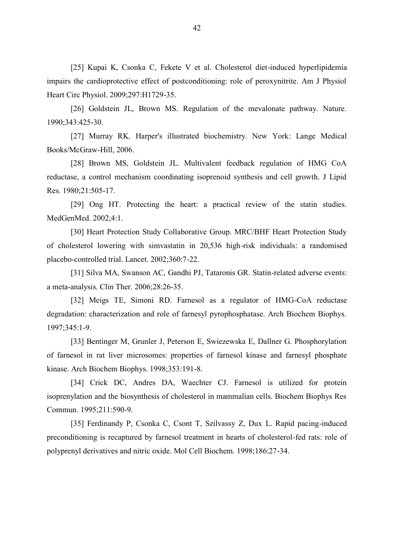[25] Kupai K, Csonka C, Fekete V et al. Cholesterol diet-induced hyperlipidemia impairs the cardioprotective effect of postconditioning: role of peroxynitrite. Am J Physiol Heart Circ Physiol. 2009;297:H1729-35.

[26] Goldstein JL, Brown MS. Regulation of the mevalonate pathway. Nature. 1990;343:425-30.

[27] Murray RK. Harper's illustrated biochemistry. New York: Lange Medical Books/McGraw-Hill, 2006.

[28] Brown MS, Goldstein JL. Multivalent feedback regulation of HMG CoA reductase, a control mechanism coordinating isoprenoid synthesis and cell growth. J Lipid Res. 1980;21:505-17.

[29] Ong HT. Protecting the heart: a practical review of the statin studies. MedGenMed. 2002;4:1.

[30] Heart Protection Study Collaborative Group. MRC/BHF Heart Protection Study of cholesterol lowering with simvastatin in 20,536 high-risk individuals: a randomised placebo-controlled trial. Lancet. 2002;360:7-22.

[31] Silva MA, Swanson AC, Gandhi PJ, Tataronis GR. Statin-related adverse events: a meta-analysis. Clin Ther. 2006;28:26-35.

[32] Meigs TE, Simoni RD. Farnesol as a regulator of HMG-CoA reductase degradation: characterization and role of farnesyl pyrophosphatase. Arch Biochem Biophys. 1997;345:1-9.

[33] Bentinger M, Grunler J, Peterson E, Swiezewska E, Dallner G. Phosphorylation of farnesol in rat liver microsomes: properties of farnesol kinase and farnesyl phosphate kinase. Arch Biochem Biophys. 1998;353:191-8.

[34] Crick DC, Andres DA, Waechter CJ. Farnesol is utilized for protein isoprenylation and the biosynthesis of cholesterol in mammalian cells. Biochem Biophys Res Commun. 1995;211:590-9.

[35] Ferdinandy P, Csonka C, Csont T, Szilvassy Z, Dux L. Rapid pacing-induced preconditioning is recaptured by farnesol treatment in hearts of cholesterol-fed rats: role of polyprenyl derivatives and nitric oxide. Mol Cell Biochem. 1998;186:27-34.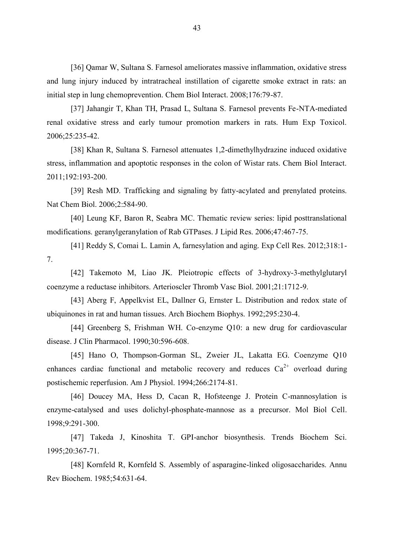[36] Qamar W, Sultana S. Farnesol ameliorates massive inflammation, oxidative stress and lung injury induced by intratracheal instillation of cigarette smoke extract in rats: an initial step in lung chemoprevention. Chem Biol Interact. 2008;176:79-87.

[37] Jahangir T, Khan TH, Prasad L, Sultana S. Farnesol prevents Fe-NTA-mediated renal oxidative stress and early tumour promotion markers in rats. Hum Exp Toxicol. 2006;25:235-42.

[38] Khan R, Sultana S. Farnesol attenuates 1,2-dimethylhydrazine induced oxidative stress, inflammation and apoptotic responses in the colon of Wistar rats. Chem Biol Interact. 2011;192:193-200.

[39] Resh MD. Trafficking and signaling by fatty-acylated and prenylated proteins. Nat Chem Biol. 2006;2:584-90.

[40] Leung KF, Baron R, Seabra MC. Thematic review series: lipid posttranslational modifications. geranylgeranylation of Rab GTPases. J Lipid Res. 2006;47:467-75.

[41] Reddy S, Comai L. Lamin A, farnesylation and aging. Exp Cell Res. 2012;318:1- 7.

[42] Takemoto M, Liao JK. Pleiotropic effects of 3-hydroxy-3-methylglutaryl coenzyme a reductase inhibitors. Arterioscler Thromb Vasc Biol. 2001;21:1712-9.

[43] Aberg F, Appelkvist EL, Dallner G, Ernster L. Distribution and redox state of ubiquinones in rat and human tissues. Arch Biochem Biophys. 1992;295:230-4.

[44] Greenberg S, Frishman WH. Co-enzyme Q10: a new drug for cardiovascular disease. J Clin Pharmacol. 1990;30:596-608.

[45] Hano O, Thompson-Gorman SL, Zweier JL, Lakatta EG. Coenzyme Q10 enhances cardiac functional and metabolic recovery and reduces  $Ca^{2+}$  overload during postischemic reperfusion. Am J Physiol. 1994;266:2174-81.

[46] Doucey MA, Hess D, Cacan R, Hofsteenge J. Protein C-mannosylation is enzyme-catalysed and uses dolichyl-phosphate-mannose as a precursor. Mol Biol Cell. 1998;9:291-300.

[47] Takeda J, Kinoshita T. GPI-anchor biosynthesis. Trends Biochem Sci. 1995;20:367-71.

[48] Kornfeld R, Kornfeld S. Assembly of asparagine-linked oligosaccharides. Annu Rev Biochem. 1985;54:631-64.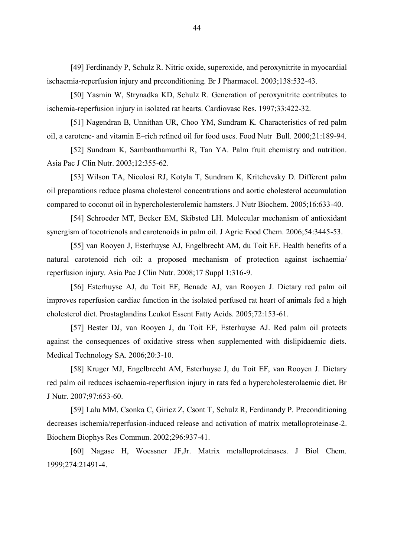[49] Ferdinandy P, Schulz R. Nitric oxide, superoxide, and peroxynitrite in myocardial ischaemia-reperfusion injury and preconditioning. Br J Pharmacol. 2003;138:532-43.

[50] Yasmin W, Strynadka KD, Schulz R. Generation of peroxynitrite contributes to ischemia-reperfusion injury in isolated rat hearts. Cardiovasc Res. 1997;33:422-32.

[51] Nagendran B, Unnithan UR, Choo YM, Sundram K. Characteristics of red palm oil, a carotene- and vitamin E–rich refined oil for food uses. Food Nutr Bull. 2000;21:189-94.

[52] Sundram K, Sambanthamurthi R, Tan YA. Palm fruit chemistry and nutrition. Asia Pac J Clin Nutr. 2003;12:355-62.

[53] Wilson TA, Nicolosi RJ, Kotyla T, Sundram K, Kritchevsky D. Different palm oil preparations reduce plasma cholesterol concentrations and aortic cholesterol accumulation compared to coconut oil in hypercholesterolemic hamsters. J Nutr Biochem. 2005;16:633-40.

[54] Schroeder MT, Becker EM, Skibsted LH. Molecular mechanism of antioxidant synergism of tocotrienols and carotenoids in palm oil. J Agric Food Chem. 2006;54:3445-53.

[55] van Rooyen J, Esterhuyse AJ, Engelbrecht AM, du Toit EF. Health benefits of a natural carotenoid rich oil: a proposed mechanism of protection against ischaemia/ reperfusion injury. Asia Pac J Clin Nutr. 2008;17 Suppl 1:316-9.

[56] Esterhuyse AJ, du Toit EF, Benade AJ, van Rooyen J. Dietary red palm oil improves reperfusion cardiac function in the isolated perfused rat heart of animals fed a high cholesterol diet. Prostaglandins Leukot Essent Fatty Acids. 2005;72:153-61.

[57] Bester DJ, van Rooyen J, du Toit EF, Esterhuyse AJ. Red palm oil protects against the consequences of oxidative stress when supplemented with dislipidaemic diets. Medical Technology SA. 2006;20:3-10.

[58] Kruger MJ, Engelbrecht AM, Esterhuyse J, du Toit EF, van Rooyen J. Dietary red palm oil reduces ischaemia-reperfusion injury in rats fed a hypercholesterolaemic diet. Br J Nutr. 2007;97:653-60.

[59] Lalu MM, Csonka C, Giricz Z, Csont T, Schulz R, Ferdinandy P. Preconditioning decreases ischemia/reperfusion-induced release and activation of matrix metalloproteinase-2. Biochem Biophys Res Commun. 2002;296:937-41.

[60] Nagase H, Woessner JF,Jr. Matrix metalloproteinases. J Biol Chem. 1999;274:21491-4.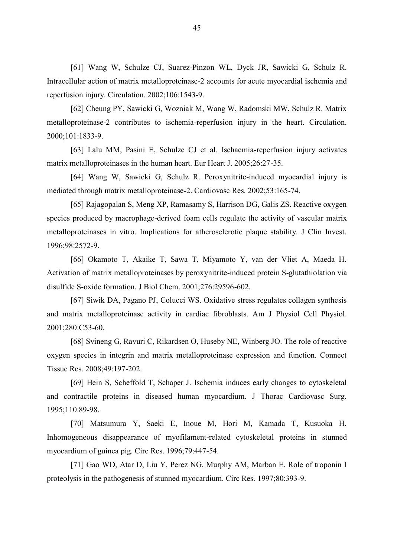[61] Wang W, Schulze CJ, Suarez-Pinzon WL, Dyck JR, Sawicki G, Schulz R. Intracellular action of matrix metalloproteinase-2 accounts for acute myocardial ischemia and reperfusion injury. Circulation. 2002;106:1543-9.

[62] Cheung PY, Sawicki G, Wozniak M, Wang W, Radomski MW, Schulz R. Matrix metalloproteinase-2 contributes to ischemia-reperfusion injury in the heart. Circulation. 2000;101:1833-9.

[63] Lalu MM, Pasini E, Schulze CJ et al. Ischaemia-reperfusion injury activates matrix metalloproteinases in the human heart. Eur Heart J. 2005;26:27-35.

[64] Wang W, Sawicki G, Schulz R. Peroxynitrite-induced myocardial injury is mediated through matrix metalloproteinase-2. Cardiovasc Res. 2002;53:165-74.

[65] Rajagopalan S, Meng XP, Ramasamy S, Harrison DG, Galis ZS. Reactive oxygen species produced by macrophage-derived foam cells regulate the activity of vascular matrix metalloproteinases in vitro. Implications for atherosclerotic plaque stability. J Clin Invest. 1996;98:2572-9.

[66] Okamoto T, Akaike T, Sawa T, Miyamoto Y, van der Vliet A, Maeda H. Activation of matrix metalloproteinases by peroxynitrite-induced protein S-glutathiolation via disulfide S-oxide formation. J Biol Chem. 2001;276:29596-602.

[67] Siwik DA, Pagano PJ, Colucci WS. Oxidative stress regulates collagen synthesis and matrix metalloproteinase activity in cardiac fibroblasts. Am J Physiol Cell Physiol. 2001;280:C53-60.

[68] Svineng G, Ravuri C, Rikardsen O, Huseby NE, Winberg JO. The role of reactive oxygen species in integrin and matrix metalloproteinase expression and function. Connect Tissue Res. 2008;49:197-202.

[69] Hein S, Scheffold T, Schaper J. Ischemia induces early changes to cytoskeletal and contractile proteins in diseased human myocardium. J Thorac Cardiovasc Surg. 1995;110:89-98.

[70] Matsumura Y, Saeki E, Inoue M, Hori M, Kamada T, Kusuoka H. Inhomogeneous disappearance of myofilament-related cytoskeletal proteins in stunned myocardium of guinea pig. Circ Res. 1996;79:447-54.

[71] Gao WD, Atar D, Liu Y, Perez NG, Murphy AM, Marban E. Role of troponin I proteolysis in the pathogenesis of stunned myocardium. Circ Res. 1997;80:393-9.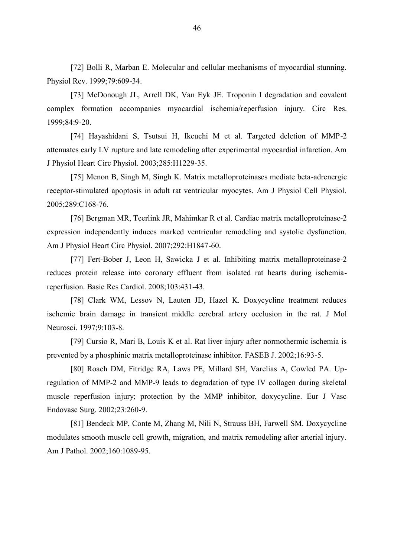[72] Bolli R, Marban E. Molecular and cellular mechanisms of myocardial stunning. Physiol Rev. 1999;79:609-34.

[73] McDonough JL, Arrell DK, Van Eyk JE. Troponin I degradation and covalent complex formation accompanies myocardial ischemia/reperfusion injury. Circ Res. 1999;84:9-20.

[74] Hayashidani S, Tsutsui H, Ikeuchi M et al. Targeted deletion of MMP-2 attenuates early LV rupture and late remodeling after experimental myocardial infarction. Am J Physiol Heart Circ Physiol. 2003;285:H1229-35.

[75] Menon B, Singh M, Singh K. Matrix metalloproteinases mediate beta-adrenergic receptor-stimulated apoptosis in adult rat ventricular myocytes. Am J Physiol Cell Physiol. 2005;289:C168-76.

[76] Bergman MR, Teerlink JR, Mahimkar R et al. Cardiac matrix metalloproteinase-2 expression independently induces marked ventricular remodeling and systolic dysfunction. Am J Physiol Heart Circ Physiol. 2007;292:H1847-60.

[77] Fert-Bober J, Leon H, Sawicka J et al. Inhibiting matrix metalloproteinase-2 reduces protein release into coronary effluent from isolated rat hearts during ischemiareperfusion. Basic Res Cardiol. 2008;103:431-43.

[78] Clark WM, Lessov N, Lauten JD, Hazel K. Doxycycline treatment reduces ischemic brain damage in transient middle cerebral artery occlusion in the rat. J Mol Neurosci. 1997;9:103-8.

[79] Cursio R, Mari B, Louis K et al. Rat liver injury after normothermic ischemia is prevented by a phosphinic matrix metalloproteinase inhibitor. FASEB J. 2002;16:93-5.

[80] Roach DM, Fitridge RA, Laws PE, Millard SH, Varelias A, Cowled PA. Upregulation of MMP-2 and MMP-9 leads to degradation of type IV collagen during skeletal muscle reperfusion injury; protection by the MMP inhibitor, doxycycline. Eur J Vasc Endovasc Surg. 2002;23:260-9.

[81] Bendeck MP, Conte M, Zhang M, Nili N, Strauss BH, Farwell SM. Doxycycline modulates smooth muscle cell growth, migration, and matrix remodeling after arterial injury. Am J Pathol. 2002;160:1089-95.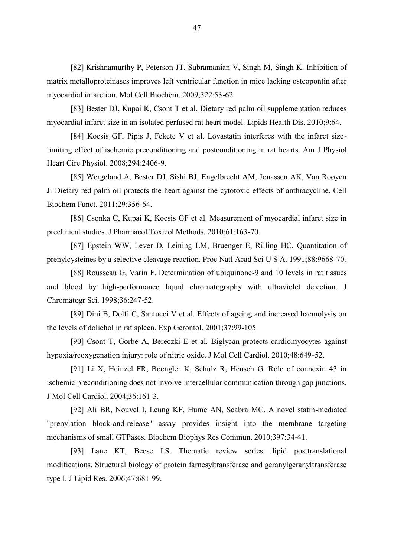[82] Krishnamurthy P, Peterson JT, Subramanian V, Singh M, Singh K. Inhibition of matrix metalloproteinases improves left ventricular function in mice lacking osteopontin after myocardial infarction. Mol Cell Biochem. 2009;322:53-62.

[83] Bester DJ, Kupai K, Csont T et al. Dietary red palm oil supplementation reduces myocardial infarct size in an isolated perfused rat heart model. Lipids Health Dis. 2010;9:64.

[84] Kocsis GF, Pipis J, Fekete V et al. Lovastatin interferes with the infarct sizelimiting effect of ischemic preconditioning and postconditioning in rat hearts. Am J Physiol Heart Circ Physiol. 2008;294:2406-9.

[85] Wergeland A, Bester DJ, Sishi BJ, Engelbrecht AM, Jonassen AK, Van Rooyen J. Dietary red palm oil protects the heart against the cytotoxic effects of anthracycline. Cell Biochem Funct. 2011;29:356-64.

[86] Csonka C, Kupai K, Kocsis GF et al. Measurement of myocardial infarct size in preclinical studies. J Pharmacol Toxicol Methods. 2010;61:163-70.

[87] Epstein WW, Lever D, Leining LM, Bruenger E, Rilling HC. Quantitation of prenylcysteines by a selective cleavage reaction. Proc Natl Acad Sci U S A. 1991;88:9668-70.

[88] Rousseau G, Varin F. Determination of ubiquinone-9 and 10 levels in rat tissues and blood by high-performance liquid chromatography with ultraviolet detection. J Chromatogr Sci. 1998;36:247-52.

[89] Dini B, Dolfi C, Santucci V et al. Effects of ageing and increased haemolysis on the levels of dolichol in rat spleen. Exp Gerontol. 2001;37:99-105.

[90] Csont T, Gorbe A, Bereczki E et al. Biglycan protects cardiomyocytes against hypoxia/reoxygenation injury: role of nitric oxide. J Mol Cell Cardiol. 2010;48:649-52.

[91] Li X, Heinzel FR, Boengler K, Schulz R, Heusch G. Role of connexin 43 in ischemic preconditioning does not involve intercellular communication through gap junctions. J Mol Cell Cardiol. 2004;36:161-3.

[92] Ali BR, Nouvel I, Leung KF, Hume AN, Seabra MC. A novel statin-mediated "prenylation block-and-release" assay provides insight into the membrane targeting mechanisms of small GTPases. Biochem Biophys Res Commun. 2010;397:34-41.

[93] Lane KT, Beese LS. Thematic review series: lipid posttranslational modifications. Structural biology of protein farnesyltransferase and geranylgeranyltransferase type I. J Lipid Res. 2006;47:681-99.